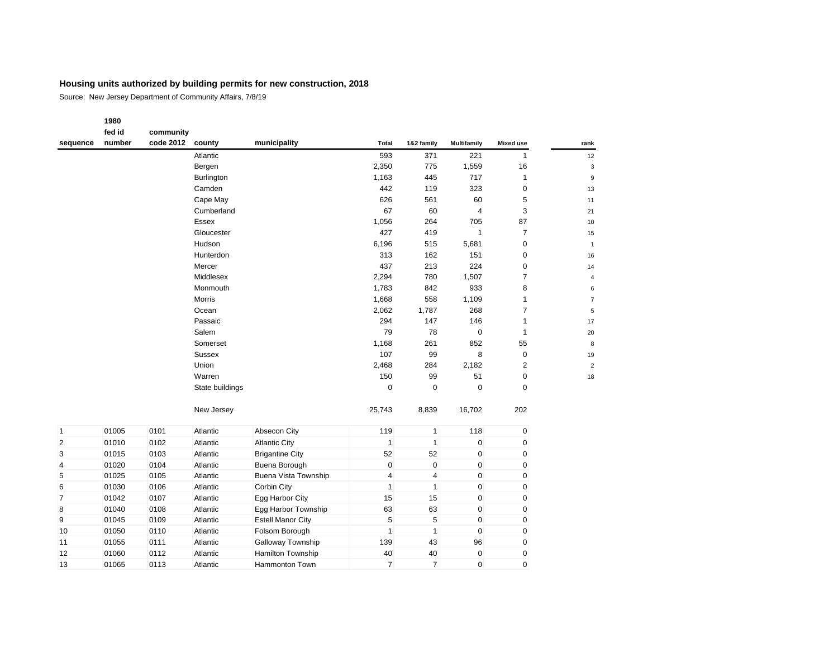Source: New Jersey Department of Community Affairs, 7/8/19

### **1980 fed id community**

| sequence       | number | code 2012 | county          | municipality                | Total                   | 1&2 family     | <b>Multifamily</b> | <b>Mixed use</b> | rank           |
|----------------|--------|-----------|-----------------|-----------------------------|-------------------------|----------------|--------------------|------------------|----------------|
|                |        |           | Atlantic        |                             | 593                     | 371            | 221                | $\mathbf{1}$     | 12             |
|                |        |           | Bergen          |                             | 2,350                   | 775            | 1,559              | 16               | 3              |
|                |        |           | Burlington      |                             | 1,163                   | 445            | 717                | $\mathbf{1}$     | 9              |
|                |        |           | Camden          |                             | 442                     | 119            | 323                | 0                | 13             |
|                |        |           | Cape May        |                             | 626                     | 561            | 60                 | 5                | 11             |
|                |        |           | Cumberland      |                             | 67                      | 60             | $\overline{4}$     | 3                | 21             |
|                |        |           | Essex           |                             | 1,056                   | 264            | 705                | 87               | 10             |
|                |        |           | Gloucester      |                             | 427                     | 419            | $\mathbf{1}$       | $\overline{7}$   | 15             |
|                |        |           | Hudson          |                             | 6,196                   | 515            | 5,681              | $\pmb{0}$        | $\overline{1}$ |
|                |        |           | Hunterdon       |                             | 313                     | 162            | 151                | $\pmb{0}$        | 16             |
|                |        |           | Mercer          |                             | 437                     | 213            | 224                | 0                | 14             |
|                |        |           | Middlesex       |                             | 2,294                   | 780            | 1,507              | $\overline{7}$   | 4              |
|                |        |           | Monmouth        |                             | 1,783                   | 842            | 933                | 8                | 6              |
|                |        |           | Morris          |                             | 1,668                   | 558            | 1,109              | $\mathbf{1}$     | $\overline{7}$ |
|                |        |           | Ocean           |                             | 2,062                   | 1,787          | 268                | $\overline{7}$   | 5              |
|                |        |           | Passaic         |                             | 294                     | 147            | 146                | $\mathbf{1}$     | 17             |
|                |        |           | Salem           |                             | 79                      | 78             | $\mathbf 0$        | $\mathbf{1}$     | 20             |
|                |        |           | Somerset        |                             | 1,168                   | 261            | 852                | 55               | 8              |
|                |        |           | <b>Sussex</b>   |                             | 107                     | 99             | 8                  | $\pmb{0}$        | 19             |
|                |        |           | Union           |                             | 2,468                   | 284            | 2,182              | $\overline{2}$   | $\overline{c}$ |
|                |        |           | Warren          |                             | 150                     | 99             | 51                 | $\pmb{0}$        | 18             |
|                |        |           | State buildings |                             | $\mathbf 0$             | $\Omega$       | $\mathbf 0$        | $\mathbf 0$      |                |
|                |        |           | New Jersey      |                             | 25,743                  | 8,839          | 16,702             | 202              |                |
| $\mathbf{1}$   | 01005  | 0101      | Atlantic        | Absecon City                | 119                     | $\mathbf{1}$   | 118                | 0                |                |
| 2              | 01010  | 0102      | Atlantic        | <b>Atlantic City</b>        | $\mathbf{1}$            | $\mathbf{1}$   | $\pmb{0}$          | 0                |                |
| 3              | 01015  | 0103      | Atlantic        | <b>Brigantine City</b>      | 52                      | 52             | $\pmb{0}$          | 0                |                |
| 4              | 01020  | 0104      | Atlantic        | Buena Borough               | 0                       | $\pmb{0}$      | $\pmb{0}$          | 0                |                |
| 5              | 01025  | 0105      | Atlantic        | <b>Buena Vista Township</b> | $\overline{\mathbf{4}}$ | $\overline{4}$ | $\pmb{0}$          | 0                |                |
| 6              | 01030  | 0106      | Atlantic        | Corbin City                 | $\mathbf{1}$            | $\mathbf{1}$   | $\pmb{0}$          | 0                |                |
| $\overline{7}$ | 01042  | 0107      | Atlantic        | Egg Harbor City             | 15                      | 15             | $\mathbf 0$        | 0                |                |
| 8              | 01040  | 0108      | Atlantic        | Egg Harbor Township         | 63                      | 63             | $\pmb{0}$          | 0                |                |
| 9              | 01045  | 0109      | Atlantic        | <b>Estell Manor City</b>    | 5                       | 5              | $\mathbf 0$        | 0                |                |
| 10             | 01050  | 0110      | Atlantic        | Folsom Borough              | $\mathbf{1}$            | $\mathbf{1}$   | $\pmb{0}$          | $\pmb{0}$        |                |
| 11             | 01055  | 0111      | Atlantic        | Galloway Township           | 139                     | 43             | 96                 | 0                |                |
| 12             | 01060  | 0112      | Atlantic        | Hamilton Township           | 40                      | 40             | $\pmb{0}$          | $\pmb{0}$        |                |
| 13             | 01065  | 0113      | Atlantic        | Hammonton Town              | $\overline{7}$          | $\overline{7}$ | $\mathbf 0$        | $\mathbf 0$      |                |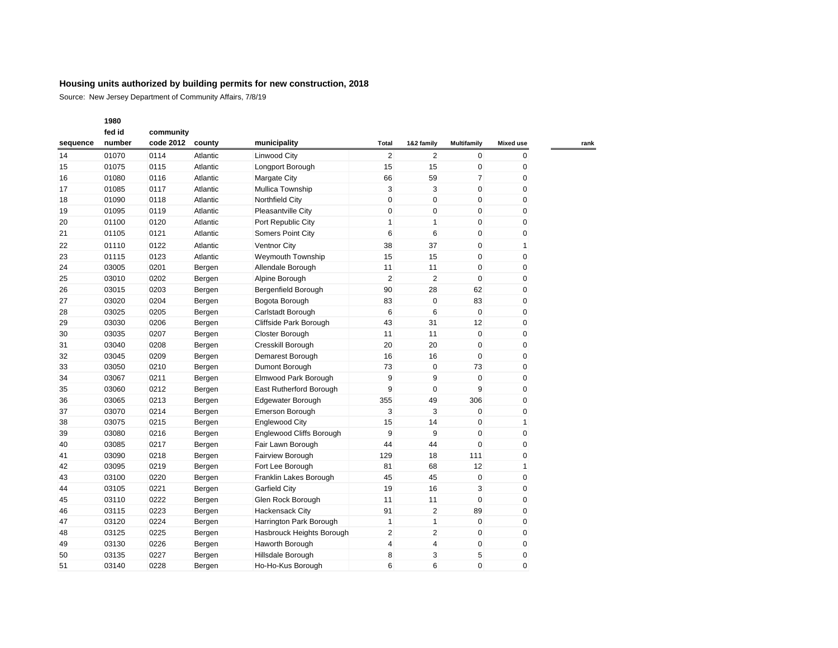|          | 1980   |           |          |                            |                |                |             |                  |
|----------|--------|-----------|----------|----------------------------|----------------|----------------|-------------|------------------|
|          | fed id | community |          |                            |                |                |             |                  |
| sequence | number | code 2012 | county   | municipality               | Total          | 1&2 family     | Multifamily | <b>Mixed use</b> |
| 14       | 01070  | 0114      | Atlantic | <b>Linwood City</b>        | $\overline{2}$ | $\overline{2}$ | $\mathbf 0$ | $\mathbf 0$      |
| 15       | 01075  | 0115      | Atlantic | Longport Borough           | 15             | 15             | $\mathbf 0$ | 0                |
| 16       | 01080  | 0116      | Atlantic | Margate City               | 66             | 59             | 7           | 0                |
| 17       | 01085  | 0117      | Atlantic | Mullica Township           | 3              | 3              | $\pmb{0}$   | 0                |
| 18       | 01090  | 0118      | Atlantic | Northfield City            | $\mathbf 0$    | $\mathbf{0}$   | $\mathbf 0$ | 0                |
| 19       | 01095  | 0119      | Atlantic | Pleasantville City         | 0              | $\mathbf 0$    | $\mathbf 0$ | 0                |
| 20       | 01100  | 0120      | Atlantic | Port Republic City         | $\mathbf{1}$   | $\mathbf{1}$   | $\pmb{0}$   | 0                |
| 21       | 01105  | 0121      | Atlantic | Somers Point City          | 6              | 6              | $\mathbf 0$ | 0                |
| 22       | 01110  | 0122      | Atlantic | <b>Ventnor City</b>        | 38             | 37             | $\mathbf 0$ | 1                |
|          | 01115  | 0123      | Atlantic | Weymouth Township          | 15             | 15             | $\mathbf 0$ | 0                |
|          | 03005  | 0201      | Bergen   | Allendale Borough          | 11             | 11             | $\mathbf 0$ | 0                |
|          | 03010  | 0202      | Bergen   | Alpine Borough             | $\overline{2}$ | $\overline{2}$ | $\Omega$    | 0                |
|          | 03015  | 0203      | Bergen   | <b>Bergenfield Borough</b> | 90             | 28             | 62          | 0                |
|          | 03020  | 0204      | Bergen   | Bogota Borough             | 83             | $\mathbf 0$    | 83          | 0                |
|          | 03025  | 0205      | Bergen   | Carlstadt Borough          | 6              | 6              | $\mathbf 0$ | 0                |
|          | 03030  | 0206      | Bergen   | Cliffside Park Borough     | 43             | 31             | 12          | 0                |
|          | 03035  | 0207      | Bergen   | Closter Borough            | 11             | 11             | $\mathbf 0$ | 0                |
|          | 03040  | 0208      | Bergen   | Cresskill Borough          | 20             | 20             | $\mathbf 0$ | 0                |
|          | 03045  | 0209      | Bergen   | Demarest Borough           | 16             | 16             | $\mathbf 0$ | 0                |
|          | 03050  | 0210      | Bergen   | Dumont Borough             | 73             | $\mathbf{0}$   | 73          | 0                |
|          | 03067  | 0211      | Bergen   | Elmwood Park Borough       | 9              | 9              | $\mathbf 0$ | 0                |
|          | 03060  | 0212      | Bergen   | East Rutherford Borough    | 9              | $\mathbf{0}$   | 9           | 0                |
|          | 03065  | 0213      | Bergen   | Edgewater Borough          | 355            | 49             | 306         | 0                |
|          | 03070  | 0214      | Bergen   | Emerson Borough            | 3              | 3              | $\mathbf 0$ | 0                |
|          | 03075  | 0215      | Bergen   | <b>Englewood City</b>      | 15             | 14             | $\mathbf 0$ | $\mathbf{1}$     |
|          | 03080  | 0216      | Bergen   | Englewood Cliffs Borough   | 9              | 9              | $\mathbf 0$ | 0                |
|          | 03085  | 0217      | Bergen   | Fair Lawn Borough          | 44             | 44             | $\mathbf 0$ | 0                |
|          | 03090  | 0218      | Bergen   | Fairview Borough           | 129            | 18             | 111         | 0                |
|          | 03095  | 0219      | Bergen   | Fort Lee Borough           | 81             | 68             | 12          | 1                |
|          | 03100  | 0220      | Bergen   | Franklin Lakes Borough     | 45             | 45             | $\mathbf 0$ | 0                |
|          | 03105  | 0221      | Bergen   | Garfield City              | 19             | 16             | 3           | 0                |
|          | 03110  | 0222      | Bergen   | Glen Rock Borough          | 11             | 11             | $\mathbf 0$ | 0                |
|          | 03115  | 0223      | Bergen   | Hackensack City            | 91             | $\overline{2}$ | 89          | 0                |
|          | 03120  | 0224      | Bergen   | Harrington Park Borough    | $\mathbf{1}$   | $\mathbf{1}$   | $\mathbf 0$ | 0                |
|          | 03125  | 0225      | Bergen   | Hasbrouck Heights Borough  | $\overline{2}$ | $\overline{2}$ | $\mathbf 0$ | 0                |
| 49       | 03130  | 0226      | Bergen   | Haworth Borough            | 4              | 4              | $\mathbf 0$ | 0                |
|          | 03135  | 0227      | Bergen   | Hillsdale Borough          | 8              | 3              | 5           | 0                |
|          | 03140  | 0228      | Bergen   | Ho-Ho-Kus Borough          | 6              | 6              | $\Omega$    | $\Omega$         |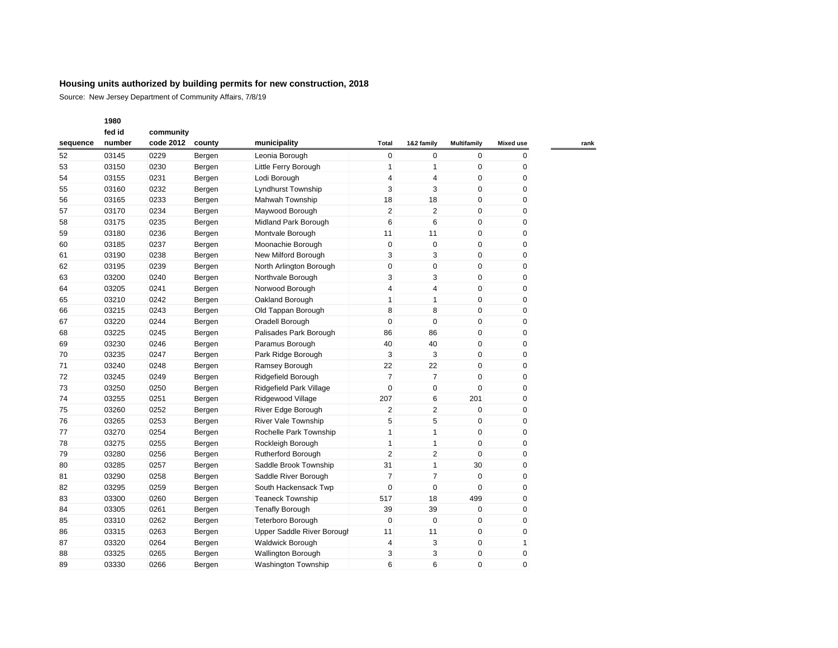|          | 1980   |           |        |                            |                |                |                    |                  |
|----------|--------|-----------|--------|----------------------------|----------------|----------------|--------------------|------------------|
|          | fed id | community |        |                            |                |                |                    |                  |
| sequence | number | code 2012 | county | municipality               | <b>Total</b>   | 1&2 family     | <b>Multifamily</b> | <b>Mixed use</b> |
| 52       | 03145  | 0229      | Bergen | Leonia Borough             | 0              | $\pmb{0}$      | $\pmb{0}$          | $\mathbf 0$      |
| 53       | 03150  | 0230      | Bergen | Little Ferry Borough       | $\mathbf{1}$   | $\mathbf{1}$   | $\mathbf 0$        | 0                |
| 54       | 03155  | 0231      | Bergen | Lodi Borough               | 4              | $\overline{4}$ | 0                  | 0                |
| 55       | 03160  | 0232      | Bergen | Lyndhurst Township         | 3              | 3              | 0                  | 0                |
| 56       | 03165  | 0233      | Bergen | Mahwah Township            | 18             | 18             | $\mathbf 0$        | 0                |
| 57       | 03170  | 0234      | Bergen | Maywood Borough            | $\overline{c}$ | $\overline{2}$ | $\mathbf 0$        | 0                |
| 58       | 03175  | 0235      | Bergen | Midland Park Borough       | 6              | 6              | $\mathbf 0$        | 0                |
| 59       | 03180  | 0236      | Bergen | Montvale Borough           | 11             | 11             | $\mathbf 0$        | 0                |
|          | 03185  | 0237      | Bergen | Moonachie Borough          | 0              | $\mathbf 0$    | $\mathbf 0$        | 0                |
|          | 03190  | 0238      | Bergen | New Milford Borough        | 3              | 3              | $\mathbf 0$        | 0                |
| 62       | 03195  | 0239      | Bergen | North Arlington Borough    | 0              | $\mathbf 0$    | $\mathbf 0$        | 0                |
| 63       | 03200  | 0240      | Bergen | Northvale Borough          | 3              | 3              | $\mathbf 0$        | 0                |
| 64       | 03205  | 0241      | Bergen | Norwood Borough            | 4              | 4              | $\mathbf 0$        | 0                |
| 65       | 03210  | 0242      | Bergen | Oakland Borough            | $\mathbf{1}$   | $\mathbf{1}$   | $\mathbf 0$        | 0                |
| 66       | 03215  | 0243      | Bergen | Old Tappan Borough         | 8              | 8              | 0                  | 0                |
|          | 03220  | 0244      | Bergen | Oradell Borough            | 0              | $\mathbf 0$    | $\mathbf 0$        | 0                |
|          | 03225  | 0245      | Bergen | Palisades Park Borough     | 86             | 86             | $\mathbf 0$        | 0                |
|          | 03230  | 0246      | Bergen | Paramus Borough            | 40             | 40             | $\mathbf 0$        | 0                |
|          | 03235  | 0247      | Bergen | Park Ridge Borough         | 3              | 3              | $\mathbf 0$        | 0                |
|          | 03240  | 0248      | Bergen | Ramsey Borough             | 22             | 22             | $\mathbf 0$        | 0                |
|          | 03245  | 0249      | Bergen | Ridgefield Borough         | 7              | 7              | 0                  | 0                |
|          | 03250  | 0250      | Bergen | Ridgefield Park Village    | $\mathbf 0$    | $\mathbf 0$    | $\mathbf 0$        | 0                |
|          | 03255  | 0251      | Bergen | Ridgewood Village          | 207            | 6              | 201                | 0                |
|          | 03260  | 0252      | Bergen | River Edge Borough         | 2              | $\sqrt{2}$     | $\mathbf 0$        | 0                |
|          | 03265  | 0253      | Bergen | <b>River Vale Township</b> | 5              | 5              | $\mathbf 0$        | 0                |
|          | 03270  | 0254      | Bergen | Rochelle Park Township     | 1              | $\mathbf{1}$   | $\mathbf 0$        | 0                |
|          | 03275  | 0255      | Bergen | Rockleigh Borough          | $\mathbf{1}$   | $\mathbf{1}$   | $\mathbf 0$        | 0                |
|          | 03280  | 0256      | Bergen | <b>Rutherford Borough</b>  | $\overline{2}$ | $\overline{2}$ | $\mathbf 0$        | 0                |
|          | 03285  | 0257      | Bergen | Saddle Brook Township      | 31             | $\mathbf{1}$   | 30                 | 0                |
|          | 03290  | 0258      | Bergen | Saddle River Borough       | $\overline{7}$ | $\overline{7}$ | $\mathbf 0$        | 0                |
|          | 03295  | 0259      | Bergen | South Hackensack Twp       | 0              | $\mathbf 0$    | 0                  | 0                |
|          | 03300  | 0260      | Bergen | <b>Teaneck Township</b>    | 517            | 18             | 499                | 0                |
|          | 03305  | 0261      | Bergen | <b>Tenafly Borough</b>     | 39             | 39             | $\mathbf 0$        | 0                |
| 85       | 03310  | 0262      | Bergen | Teterboro Borough          | $\mathbf 0$    | $\mathbf 0$    | 0                  | 0                |
| 86       | 03315  | 0263      | Bergen | Upper Saddle River Borough | 11             | 11             | $\mathbf 0$        | 0                |
| 87       | 03320  | 0264      | Bergen | Waldwick Borough           | 4              | 3              | $\mathbf 0$        | $\mathbf{1}$     |
| 88       | 03325  | 0265      | Bergen | <b>Wallington Borough</b>  | 3              | 3              | 0                  | 0                |
| 89       | 03330  | 0266      | Bergen | <b>Washington Township</b> | 6              | 6              | $\Omega$           | $\Omega$         |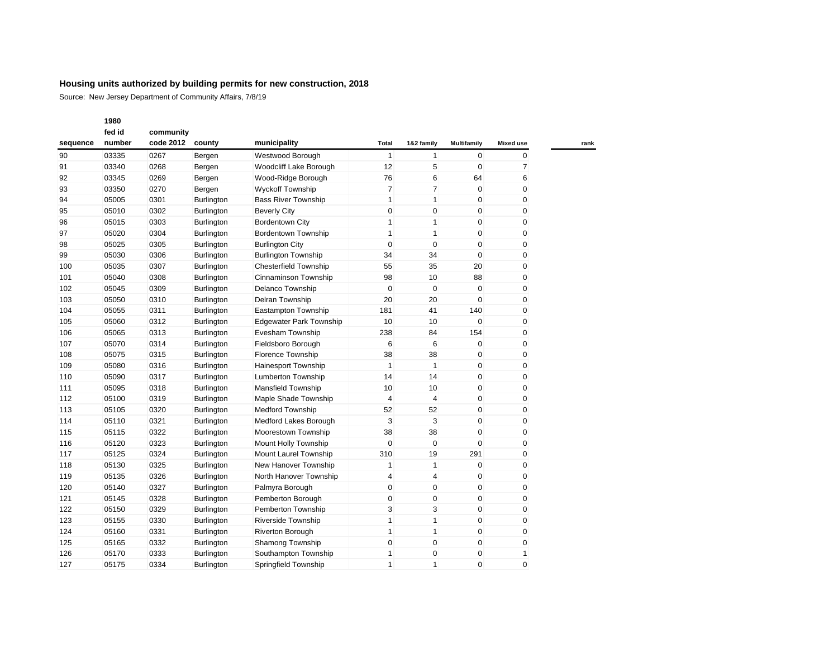Source: New Jersey Department of Community Affairs, 7/8/19

| fed id   |        | community |                   |                                |                |                 |                    |                  |
|----------|--------|-----------|-------------------|--------------------------------|----------------|-----------------|--------------------|------------------|
| sequence | number | code 2012 | county            | municipality                   | Total          | 1&2 family      | <b>Multifamily</b> | <b>Mixed use</b> |
| 90       | 03335  | 0267      | Bergen            | Westwood Borough               | 1              | 1               | 0                  | 0                |
| 91       | 03340  | 0268      | Bergen            | Woodcliff Lake Borough         | 12             | 5               | $\mathbf 0$        | $\overline{7}$   |
| 92       | 03345  | 0269      | Bergen            | Wood-Ridge Borough             | 76             | 6               | 64                 | 6                |
| 93       | 03350  | 0270      | Bergen            | <b>Wyckoff Township</b>        | $\overline{7}$ | $\overline{7}$  | $\pmb{0}$          | 0                |
| 94       | 05005  | 0301      | Burlington        | <b>Bass River Township</b>     | $\mathbf{1}$   | $\mathbf{1}$    | $\mathbf 0$        | $\pmb{0}$        |
| 95       | 05010  | 0302      | Burlington        | <b>Beverly City</b>            | $\mathbf 0$    | $\mathbf{0}$    | $\pmb{0}$          | 0                |
| 96       | 05015  | 0303      | Burlington        | <b>Bordentown City</b>         | $\mathbf{1}$   | $\mathbf{1}$    | $\mathbf 0$        | $\mathbf 0$      |
| 97       | 05020  | 0304      | Burlington        | Bordentown Township            | $\mathbf{1}$   | $\mathbf{1}$    | $\mathbf 0$        | 0                |
| 98       | 05025  | 0305      | <b>Burlington</b> | <b>Burlington City</b>         | $\mathbf 0$    | $\mathbf{0}$    | $\mathbf 0$        | 0                |
| 99       | 05030  | 0306      | Burlington        | <b>Burlington Township</b>     | 34             | 34              | $\mathbf 0$        | 0                |
| 100      | 05035  | 0307      | Burlington        | <b>Chesterfield Township</b>   | 55             | 35              | 20                 | 0                |
| 101      | 05040  | 0308      | Burlington        | Cinnaminson Township           | 98             | 10              | 88                 | 0                |
| 102      | 05045  | 0309      | Burlington        | Delanco Township               | $\mathbf 0$    | $\mathbf 0$     | $\mathbf 0$        | 0                |
| 103      | 05050  | 0310      | Burlington        | Delran Township                | 20             | 20              | $\mathbf 0$        | 0                |
| 104      | 05055  | 0311      | Burlington        | Eastampton Township            | 181            | 41              | 140                | 0                |
| 105      | 05060  | 0312      | Burlington        | <b>Edgewater Park Township</b> | 10             | 10 <sup>1</sup> | $\mathbf 0$        | 0                |
| 106      | 05065  | 0313      | Burlington        | Evesham Township               | 238            | 84              | 154                | $\mathbf 0$      |
| 107      | 05070  | 0314      | Burlington        | Fieldsboro Borough             | 6              | 6               | $\mathbf 0$        | 0                |
| 108      | 05075  | 0315      | Burlington        | Florence Township              | 38             | 38              | $\pmb{0}$          | 0                |
| 109      | 05080  | 0316      | Burlington        | <b>Hainesport Township</b>     | $\mathbf{1}$   | $\mathbf{1}$    | $\pmb{0}$          | 0                |
| 110      | 05090  | 0317      | Burlington        | <b>Lumberton Township</b>      | 14             | 14              | $\mathbf 0$        | 0                |
| 111      | 05095  | 0318      | Burlington        | <b>Mansfield Township</b>      | 10             | 10              | $\mathbf 0$        | 0                |
| 112      | 05100  | 0319      | Burlington        | Maple Shade Township           | $\overline{4}$ | $\overline{4}$  | $\mathbf 0$        | 0                |
| 113      | 05105  | 0320      | Burlington        | <b>Medford Township</b>        | 52             | 52              | $\mathbf 0$        | $\mathbf 0$      |
| 114      | 05110  | 0321      | Burlington        | Medford Lakes Borough          | 3              | 3               | $\mathbf 0$        | $\mathbf 0$      |
| 115      | 05115  | 0322      | Burlington        | Moorestown Township            | 38             | 38              | $\pmb{0}$          | 0                |
| 116      | 05120  | 0323      | Burlington        | Mount Holly Township           | 0              | $\mathbf 0$     | $\mathbf 0$        | 0                |
| 117      | 05125  | 0324      | Burlington        | Mount Laurel Township          | 310            | 19              | 291                | 0                |
| 118      | 05130  | 0325      | Burlington        | New Hanover Township           | 1              | 1               | $\mathbf 0$        | 0                |
| 119      | 05135  | 0326      | Burlington        | North Hanover Township         | 4              | 4               | $\mathbf 0$        | 0                |
| 120      | 05140  | 0327      | Burlington        | Palmyra Borough                | $\mathbf 0$    | $\mathbf{0}$    | $\mathbf 0$        | $\pmb{0}$        |
| 121      | 05145  | 0328      | Burlington        | Pemberton Borough              | $\mathbf 0$    | $\mathbf{0}$    | $\mathbf 0$        | 0                |
| 122      | 05150  | 0329      | Burlington        | Pemberton Township             | 3              | 3               | $\pmb{0}$          | $\pmb{0}$        |
| 123      | 05155  | 0330      | Burlington        | <b>Riverside Township</b>      | $\mathbf{1}$   | $\mathbf{1}$    | $\mathbf 0$        | 0                |
| 124      | 05160  | 0331      | Burlington        | Riverton Borough               | 1              | 1               | $\pmb{0}$          | 0                |
| 125      | 05165  | 0332      | Burlington        | Shamong Township               | 0              | 0               | $\mathbf 0$        | 0                |
| 126      | 05170  | 0333      | Burlington        | Southampton Township           | $\mathbf{1}$   | 0               | $\mathbf 0$        | 1                |
| 127      | 05175  | 0334      | Burlington        | Springfield Township           | $\mathbf{1}$   | $\mathbf{1}$    | $\mathbf 0$        | $\mathbf 0$      |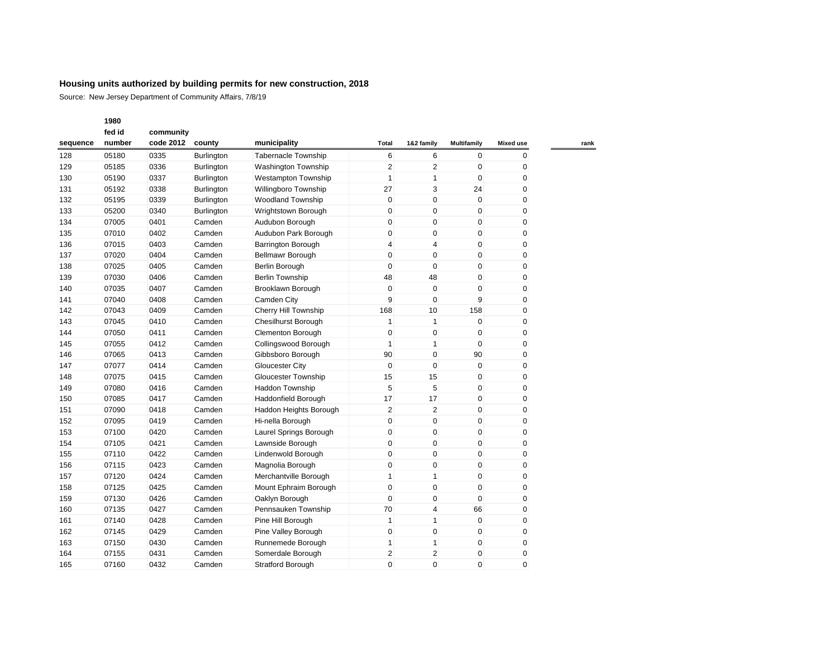Source: New Jersey Department of Community Affairs, 7/8/19

|          | fed id | community |                   |                             |                |                |                    |                  |
|----------|--------|-----------|-------------------|-----------------------------|----------------|----------------|--------------------|------------------|
| sequence | number | code 2012 | county            | municipality                | Total          | 1&2 family     | <b>Multifamily</b> | <b>Mixed use</b> |
| 128      | 05180  | 0335      | <b>Burlington</b> | <b>Tabernacle Township</b>  | 6              | 6              | $\mathbf 0$        | $\mathbf{0}$     |
| 129      | 05185  | 0336      | <b>Burlington</b> | <b>Washington Township</b>  | 2              | 2              | 0                  | 0                |
| 130      | 05190  | 0337      | Burlington        | <b>Westampton Township</b>  | $\mathbf{1}$   | $\mathbf{1}$   | $\mathbf 0$        | 0                |
| 131      | 05192  | 0338      | Burlington        | Willingboro Township        | 27             | 3              | 24                 | 0                |
| 132      | 05195  | 0339      | Burlington        | <b>Woodland Township</b>    | $\mathbf 0$    | 0              | $\mathbf 0$        | 0                |
| 133      | 05200  | 0340      | Burlington        | Wrightstown Borough         | 0              | $\pmb{0}$      | $\mathbf 0$        | 0                |
| 134      | 07005  | 0401      | Camden            | Audubon Borough             | 0              | 0              | $\mathbf 0$        | 0                |
| 135      | 07010  | 0402      | Camden            | Audubon Park Borough        | 0              | 0              | $\mathbf 0$        | 0                |
| 136      | 07015  | 0403      | Camden            | Barrington Borough          | 4              | $\overline{4}$ | $\mathbf 0$        | 0                |
| 137      | 07020  | 0404      | Camden            | Bellmawr Borough            | $\mathbf 0$    | $\mathbf 0$    | $\mathbf 0$        | 0                |
| 138      | 07025  | 0405      | Camden            | Berlin Borough              | 0              | $\pmb{0}$      | $\mathbf 0$        | 0                |
| 139      | 07030  | 0406      | Camden            | <b>Berlin Township</b>      | 48             | 48             | $\mathbf 0$        | 0                |
| 140      | 07035  | 0407      | Camden            | Brooklawn Borough           | $\mathbf 0$    | $\pmb{0}$      | $\mathbf 0$        | 0                |
| 141      | 07040  | 0408      | Camden            | Camden City                 | 9              | $\mathbf 0$    | 9                  | 0                |
| 142      | 07043  | 0409      | Camden            | <b>Cherry Hill Township</b> | 168            | 10             | 158                | 0                |
| 143      | 07045  | 0410      | Camden            | <b>Chesilhurst Borough</b>  | $\mathbf{1}$   | $\mathbf{1}$   | $\mathbf 0$        | 0                |
| 144      | 07050  | 0411      | Camden            | <b>Clementon Borough</b>    | $\mathbf 0$    | $\pmb{0}$      | $\mathbf 0$        | 0                |
| 145      | 07055  | 0412      | Camden            | Collingswood Borough        | $\mathbf{1}$   | $\mathbf{1}$   | $\mathbf 0$        | 0                |
| 146      | 07065  | 0413      | Camden            | Gibbsboro Borough           | 90             | $\pmb{0}$      | 90                 | $\pmb{0}$        |
| 147      | 07077  | 0414      | Camden            | <b>Gloucester City</b>      | $\mathbf 0$    | $\mathbf 0$    | $\mathbf 0$        | 0                |
| 148      | 07075  | 0415      | Camden            | Gloucester Township         | 15             | 15             | $\mathbf 0$        | 0                |
| 149      | 07080  | 0416      | Camden            | <b>Haddon Township</b>      | 5              | 5              | $\mathbf 0$        | $\mathbf 0$      |
| 150      | 07085  | 0417      | Camden            | Haddonfield Borough         | 17             | 17             | $\mathbf 0$        | 0                |
| 151      | 07090  | 0418      | Camden            | Haddon Heights Borough      | $\overline{2}$ | $\overline{2}$ | $\mathbf 0$        | 0                |
| 152      | 07095  | 0419      | Camden            | Hi-nella Borough            | $\mathbf 0$    | $\mathbf 0$    | $\mathbf 0$        | $\mathbf 0$      |
| 153      | 07100  | 0420      | Camden            | Laurel Springs Borough      | $\mathbf 0$    | $\mathbf 0$    | $\mathbf 0$        | 0                |
| 154      | 07105  | 0421      | Camden            | Lawnside Borough            | $\mathbf 0$    | $\mathbf 0$    | $\mathbf 0$        | 0                |
| 155      | 07110  | 0422      | Camden            | Lindenwold Borough          | $\mathbf 0$    | $\mathbf 0$    | $\mathbf 0$        | 0                |
| 156      | 07115  | 0423      | Camden            | Magnolia Borough            | 0              | 0              | 0                  | 0                |
| 157      | 07120  | 0424      | Camden            | Merchantville Borough       | $\mathbf{1}$   | $\mathbf{1}$   | $\mathbf 0$        | 0                |
| 158      | 07125  | 0425      | Camden            | Mount Ephraim Borough       | 0              | 0              | $\mathbf 0$        | 0                |
| 159      | 07130  | 0426      | Camden            | Oaklyn Borough              | 0              | 0              | $\mathbf 0$        | 0                |
| 160      | 07135  | 0427      | Camden            | Pennsauken Township         | 70             | 4              | 66                 | 0                |
| 161      | 07140  | 0428      | Camden            | Pine Hill Borough           | $\mathbf{1}$   | $\mathbf{1}$   | $\mathbf 0$        | 0                |
| 162      | 07145  | 0429      | Camden            | Pine Valley Borough         | 0              | $\pmb{0}$      | $\mathbf 0$        | 0                |
| 163      | 07150  | 0430      | Camden            | Runnemede Borough           | 1              | 1              | $\mathbf 0$        | 0                |
| 164      | 07155  | 0431      | Camden            | Somerdale Borough           | 2              | $\overline{2}$ | 0                  | 0                |
| 165      | 07160  | 0432      | Camden            | <b>Stratford Borough</b>    | $\Omega$       | $\Omega$       | $\Omega$           | 0                |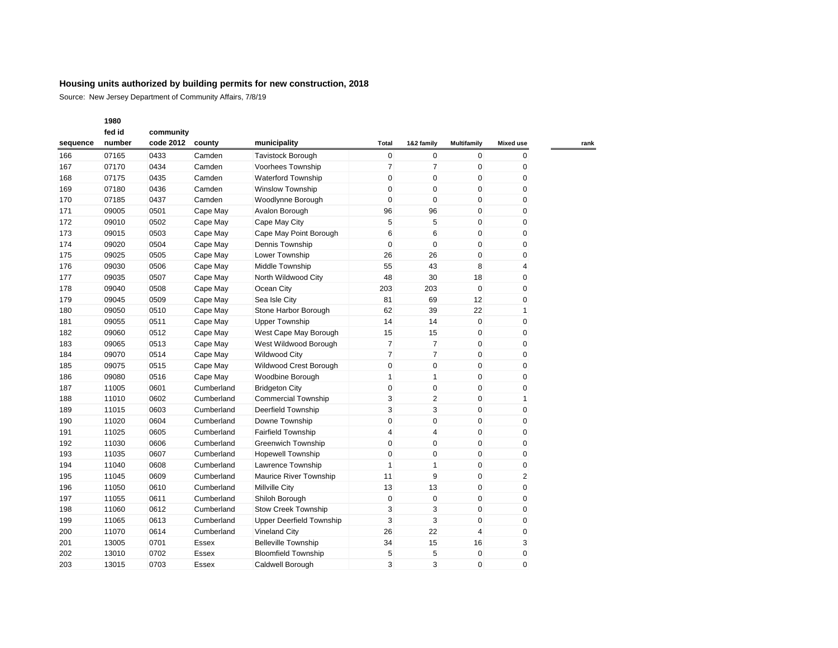Source: New Jersey Department of Community Affairs, 7/8/19

|          | fed id | community |              |                                 |                |                |                    |                  |
|----------|--------|-----------|--------------|---------------------------------|----------------|----------------|--------------------|------------------|
| sequence | number | code 2012 | county       | municipality                    | Total          | 1&2 family     | <b>Multifamily</b> | <b>Mixed use</b> |
| 166      | 07165  | 0433      | Camden       | <b>Tavistock Borough</b>        | $\mathbf 0$    | $\mathbf 0$    | $\mathbf 0$        | $\mathbf{0}$     |
| 167      | 07170  | 0434      | Camden       | Voorhees Township               | $\overline{7}$ | $\overline{7}$ | $\mathbf 0$        | 0                |
| 168      | 07175  | 0435      | Camden       | <b>Waterford Township</b>       | $\mathbf 0$    | $\mathbf 0$    | $\mathbf 0$        | $\mathbf 0$      |
| 169      | 07180  | 0436      | Camden       | <b>Winslow Township</b>         | $\mathbf 0$    | $\mathbf 0$    | $\mathbf 0$        | 0                |
| 170      | 07185  | 0437      | Camden       | Woodlynne Borough               | $\mathbf 0$    | $\mathbf 0$    | $\mathbf 0$        | $\mathbf 0$      |
| 171      | 09005  | 0501      | Cape May     | Avalon Borough                  | 96             | 96             | $\mathbf 0$        | 0                |
| 172      | 09010  | 0502      | Cape May     | Cape May City                   | 5              | 5              | $\mathbf 0$        | 0                |
| 173      | 09015  | 0503      | Cape May     | Cape May Point Borough          | 6              | 6              | $\mathbf 0$        | 0                |
| 174      | 09020  | 0504      | Cape May     | Dennis Township                 | $\mathbf 0$    | $\mathbf 0$    | $\mathbf 0$        | 0                |
| 175      | 09025  | 0505      | Cape May     | Lower Township                  | 26             | 26             | $\mathbf 0$        | 0                |
| 176      | 09030  | 0506      | Cape May     | Middle Township                 | 55             | 43             | 8                  | $\overline{4}$   |
| 177      | 09035  | 0507      | Cape May     | North Wildwood City             | 48             | 30             | 18                 | $\pmb{0}$        |
| 178      | 09040  | 0508      | Cape May     | Ocean City                      | 203            | 203            | $\mathbf 0$        | 0                |
| 179      | 09045  | 0509      | Cape May     | Sea Isle City                   | 81             | 69             | 12                 | 0                |
| 180      | 09050  | 0510      | Cape May     | Stone Harbor Borough            | 62             | 39             | 22                 | 1                |
| 181      | 09055  | 0511      | Cape May     | <b>Upper Township</b>           | 14             | 14             | $\mathbf 0$        | 0                |
| 182      | 09060  | 0512      | Cape May     | West Cape May Borough           | 15             | 15             | $\mathbf 0$        | 0                |
| 183      | 09065  | 0513      | Cape May     | West Wildwood Borough           | $\overline{7}$ | $\overline{7}$ | $\mathbf 0$        | 0                |
| 184      | 09070  | 0514      | Cape May     | <b>Wildwood City</b>            | $\overline{7}$ | $\overline{7}$ | $\mathbf 0$        | 0                |
| 185      | 09075  | 0515      | Cape May     | Wildwood Crest Borough          | 0              | $\pmb{0}$      | $\mathbf 0$        | 0                |
| 186      | 09080  | 0516      | Cape May     | Woodbine Borough                | 1              | $\mathbf{1}$   | $\mathbf 0$        | 0                |
| 187      | 11005  | 0601      | Cumberland   | <b>Bridgeton City</b>           | 0              | 0              | $\mathbf 0$        | 0                |
| 188      | 11010  | 0602      | Cumberland   | <b>Commercial Township</b>      | 3              | $\overline{2}$ | $\mathbf 0$        | 1                |
| 189      | 11015  | 0603      | Cumberland   | Deerfield Township              | 3              | 3              | $\mathbf 0$        | 0                |
| 190      | 11020  | 0604      | Cumberland   | Downe Township                  | $\mathbf 0$    | $\pmb{0}$      | $\mathbf 0$        | 0                |
| 191      | 11025  | 0605      | Cumberland   | <b>Fairfield Township</b>       | 4              | $\overline{4}$ | $\mathbf 0$        | 0                |
| 192      | 11030  | 0606      | Cumberland   | <b>Greenwich Township</b>       | $\mathbf 0$    | $\pmb{0}$      | $\mathbf 0$        | 0                |
| 193      | 11035  | 0607      | Cumberland   | <b>Hopewell Township</b>        | $\mathbf 0$    | $\mathbf 0$    | $\mathbf 0$        | 0                |
| 194      | 11040  | 0608      | Cumberland   | Lawrence Township               | $\mathbf{1}$   | $\mathbf{1}$   | $\mathbf 0$        | 0                |
| 195      | 11045  | 0609      | Cumberland   | Maurice River Township          | 11             | 9              | $\mathbf 0$        | 2                |
| 196      | 11050  | 0610      | Cumberland   | <b>Millville City</b>           | 13             | 13             | $\mathbf 0$        | 0                |
| 197      | 11055  | 0611      | Cumberland   | Shiloh Borough                  | $\mathbf 0$    | 0              | $\mathbf 0$        | 0                |
| 198      | 11060  | 0612      | Cumberland   | Stow Creek Township             | 3              | 3              | $\mathbf 0$        | 0                |
| 199      | 11065  | 0613      | Cumberland   | <b>Upper Deerfield Township</b> | 3              | 3              | $\mathbf 0$        | 0                |
| 200      | 11070  | 0614      | Cumberland   | <b>Vineland City</b>            | 26             | 22             | $\overline{4}$     | 0                |
| 201      | 13005  | 0701      | Essex        | <b>Belleville Township</b>      | 34             | 15             | 16                 | 3                |
| 202      | 13010  | 0702      | <b>Essex</b> | <b>Bloomfield Township</b>      | 5              | 5              | $\mathbf 0$        | 0                |
| 203      | 13015  | 0703      | <b>Essex</b> | Caldwell Borough                | 3              | 3              | $\Omega$           | $\Omega$         |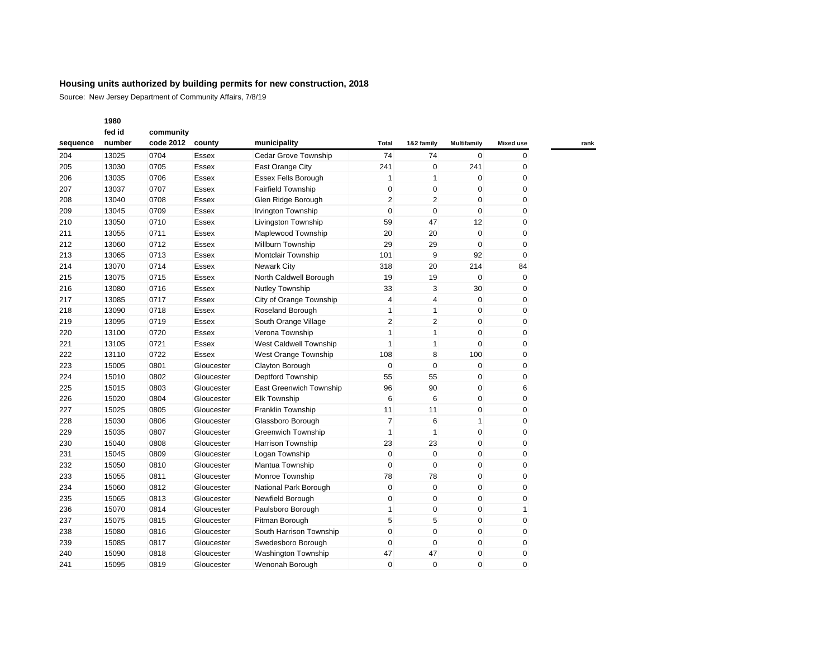Source: New Jersey Department of Community Affairs, 7/8/19

|          | fed id | community |              |                                |                |                |                    |                  |
|----------|--------|-----------|--------------|--------------------------------|----------------|----------------|--------------------|------------------|
| sequence | number | code 2012 | county       | municipality                   | Total          | 1&2 family     | <b>Multifamily</b> | <b>Mixed use</b> |
| 204      | 13025  | 0704      | Essex        | <b>Cedar Grove Township</b>    | 74             | 74             | $\mathbf{0}$       | 0                |
| 205      | 13030  | 0705      | Essex        | East Orange City               | 241            | $\mathbf 0$    | 241                | 0                |
| 206      | 13035  | 0706      | Essex        | Essex Fells Borough            | $\mathbf{1}$   | $\mathbf{1}$   | 0                  | 0                |
| 207      | 13037  | 0707      | Essex        | <b>Fairfield Township</b>      | $\pmb{0}$      | $\mathbf 0$    | 0                  | 0                |
| 208      | 13040  | 0708      | Essex        | Glen Ridge Borough             | $\overline{2}$ | 2              | 0                  | 0                |
| 209      | 13045  | 0709      | Essex        | Irvington Township             | 0              | $\mathbf 0$    | 0                  | 0                |
| 210      | 13050  | 0710      | Essex        | Livingston Township            | 59             | 47             | 12                 | 0                |
| 211      | 13055  | 0711      | Essex        | Maplewood Township             | 20             | 20             | $\mathbf 0$        | 0                |
| 212      | 13060  | 0712      | Essex        | Millburn Township              | 29             | 29             | $\mathbf 0$        | 0                |
| 213      | 13065  | 0713      | Essex        | Montclair Township             | 101            | 9              | 92                 | $\mathbf 0$      |
| 214      | 13070  | 0714      | Essex        | <b>Newark City</b>             | 318            | 20             | 214                | 84               |
| 215      | 13075  | 0715      | Essex        | North Caldwell Borough         | 19             | 19             | 0                  | 0                |
| 216      | 13080  | 0716      | Essex        | Nutley Township                | 33             | 3              | 30                 | 0                |
| 217      | 13085  | 0717      | Essex        | City of Orange Township        | 4              | 4              | $\mathbf 0$        | 0                |
| 218      | 13090  | 0718      | Essex        | Roseland Borough               | $\mathbf{1}$   | $\mathbf{1}$   | $\mathbf 0$        | 0                |
| 219      | 13095  | 0719      | Essex        | South Orange Village           | $\overline{2}$ | $\overline{2}$ | $\mathbf 0$        | 0                |
| 220      | 13100  | 0720      | Essex        | Verona Township                | $\mathbf{1}$   | $\mathbf{1}$   | $\mathbf 0$        | 0                |
| 221      | 13105  | 0721      | <b>Essex</b> | West Caldwell Township         | $\mathbf{1}$   | $\mathbf{1}$   | $\Omega$           | 0                |
| 222      | 13110  | 0722      | <b>Essex</b> | West Orange Township           | 108            | 8              | 100                | 0                |
| 223      | 15005  | 0801      | Gloucester   | Clayton Borough                | $\pmb{0}$      | $\mathbf 0$    | $\mathbf 0$        | 0                |
| 224      | 15010  | 0802      | Gloucester   | Deptford Township              | 55             | 55             | $\mathbf 0$        | 0                |
| 225      | 15015  | 0803      | Gloucester   | <b>East Greenwich Township</b> | 96             | 90             | 0                  | 6                |
| 226      | 15020  | 0804      | Gloucester   | <b>Elk Township</b>            | 6              | 6              | $\mathbf 0$        | 0                |
| 227      | 15025  | 0805      | Gloucester   | Franklin Township              | 11             | 11             | $\mathbf 0$        | 0                |
| 228      | 15030  | 0806      | Gloucester   | Glassboro Borough              | $\overline{7}$ | 6              | $\mathbf{1}$       | 0                |
| 229      | 15035  | 0807      | Gloucester   | <b>Greenwich Township</b>      | $\mathbf{1}$   | $\mathbf{1}$   | 0                  | 0                |
| 230      | 15040  | 0808      | Gloucester   | <b>Harrison Township</b>       | 23             | 23             | $\mathbf 0$        | 0                |
| 231      | 15045  | 0809      | Gloucester   | Logan Township                 | $\mathbf 0$    | $\mathbf 0$    | $\mathbf 0$        | 0                |
| 232      | 15050  | 0810      | Gloucester   | Mantua Township                | 0              | 0              | 0                  | 0                |
| 233      | 15055  | 0811      | Gloucester   | Monroe Township                | 78             | 78             | $\mathbf 0$        | 0                |
| 234      | 15060  | 0812      | Gloucester   | National Park Borough          | 0              | $\mathbf 0$    | 0                  | 0                |
| 235      | 15065  | 0813      | Gloucester   | Newfield Borough               | 0              | $\mathbf 0$    | 0                  | 0                |
| 236      | 15070  | 0814      | Gloucester   | Paulsboro Borough              | $\mathbf{1}$   | $\mathbf 0$    | 0                  | 1                |
| 237      | 15075  | 0815      | Gloucester   | Pitman Borough                 | 5              | 5              | $\mathbf 0$        | 0                |
| 238      | 15080  | 0816      | Gloucester   | South Harrison Township        | $\pmb{0}$      | $\mathbf 0$    | 0                  | 0                |
| 239      | 15085  | 0817      | Gloucester   | Swedesboro Borough             | 0              | $\mathbf 0$    | 0                  | 0                |
| 240      | 15090  | 0818      | Gloucester   | Washington Township            | 47             | 47             | 0                  | 0                |
| 241      | 15095  | 0819      | Gloucester   | Wenonah Borough                | $\mathbf 0$    | $\Omega$       | $\Omega$           | $\Omega$         |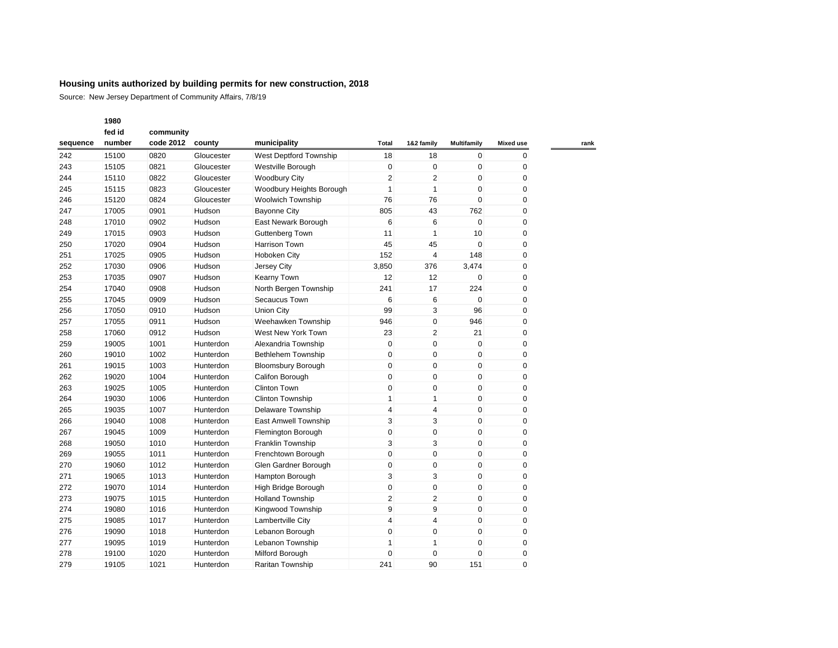Source: New Jersey Department of Community Affairs, 7/8/19

| fed id   |        | community |            |                           |                |                |                    |                  |
|----------|--------|-----------|------------|---------------------------|----------------|----------------|--------------------|------------------|
| sequence | number | code 2012 | county     | municipality              | Total          | 1&2 family     | <b>Multifamily</b> | <b>Mixed use</b> |
| 242      | 15100  | 0820      | Gloucester | West Deptford Township    | 18             | 18             | 0                  | 0                |
| 243      | 15105  | 0821      | Gloucester | Westville Borough         | $\mathbf 0$    | $\mathbf 0$    | $\mathbf 0$        | 0                |
| 244      | 15110  | 0822      | Gloucester | <b>Woodbury City</b>      | $\overline{2}$ | $\overline{2}$ | $\mathbf 0$        | 0                |
| 245      | 15115  | 0823      | Gloucester | Woodbury Heights Borough  | $\mathbf{1}$   | $\mathbf{1}$   | $\mathbf 0$        | 0                |
| 246      | 15120  | 0824      | Gloucester | <b>Woolwich Township</b>  | 76             | 76             | $\mathbf 0$        | 0                |
| 247      | 17005  | 0901      | Hudson     | <b>Bayonne City</b>       | 805            | 43             | 762                | 0                |
| 248      | 17010  | 0902      | Hudson     | East Newark Borough       | 6              | 6              | $\mathbf 0$        | $\mathbf 0$      |
| 249      | 17015  | 0903      | Hudson     | Guttenberg Town           | 11             | 1              | 10                 | 0                |
| 250      | 17020  | 0904      | Hudson     | Harrison Town             | 45             | 45             | $\mathbf 0$        | 0                |
| 251      | 17025  | 0905      | Hudson     | <b>Hoboken City</b>       | 152            | $\overline{4}$ | 148                | 0                |
| 252      | 17030  | 0906      | Hudson     | Jersey City               | 3,850          | 376            | 3,474              | 0                |
| 253      | 17035  | 0907      | Hudson     | Kearny Town               | 12             | 12             | $\mathbf 0$        | 0                |
| 254      | 17040  | 0908      | Hudson     | North Bergen Township     | 241            | 17             | 224                | 0                |
| 255      | 17045  | 0909      | Hudson     | Secaucus Town             | 6              | 6              | $\mathbf 0$        | $\mathbf 0$      |
| 256      | 17050  | 0910      | Hudson     | <b>Union City</b>         | 99             | 3              | 96                 | 0                |
| 257      | 17055  | 0911      | Hudson     | Weehawken Township        | 946            | $\overline{0}$ | 946                | 0                |
| 258      | 17060  | 0912      | Hudson     | West New York Town        | 23             | $\overline{2}$ | 21                 | 0                |
| 259      | 19005  | 1001      | Hunterdon  | Alexandria Township       | $\mathbf 0$    | $\mathbf 0$    | $\mathbf 0$        | 0                |
| 260      | 19010  | 1002      | Hunterdon  | <b>Bethlehem Township</b> | $\mathbf 0$    | $\mathbf 0$    | $\mathbf 0$        | 0                |
| 261      | 19015  | 1003      | Hunterdon  | <b>Bloomsbury Borough</b> | 0              | $\mathbf 0$    | $\mathbf 0$        | 0                |
| 262      | 19020  | 1004      | Hunterdon  | Califon Borough           | $\mathbf 0$    | 0              | $\mathbf 0$        | 0                |
| 263      | 19025  | 1005      | Hunterdon  | <b>Clinton Town</b>       | $\mathbf 0$    | 0              | $\mathbf 0$        | 0                |
| 264      | 19030  | 1006      | Hunterdon  | Clinton Township          | $\mathbf{1}$   | $\mathbf{1}$   | $\mathbf 0$        | 0                |
| 265      | 19035  | 1007      | Hunterdon  | Delaware Township         | $\overline{4}$ | $\overline{4}$ | $\mathbf 0$        | 0                |
| 266      | 19040  | 1008      | Hunterdon  | East Amwell Township      | 3              | 3              | $\mathbf 0$        | $\mathbf 0$      |
| 267      | 19045  | 1009      | Hunterdon  | Flemington Borough        | 0              | 0              | $\mathbf 0$        | 0                |
| 268      | 19050  | 1010      | Hunterdon  | Franklin Township         | 3              | 3              | $\mathbf 0$        | 0                |
| 269      | 19055  | 1011      | Hunterdon  | Frenchtown Borough        | $\mathbf 0$    | 0              | $\mathbf 0$        | 0                |
| 270      | 19060  | 1012      | Hunterdon  | Glen Gardner Borough      | 0              | 0              | $\mathbf 0$        | 0                |
| 271      | 19065  | 1013      | Hunterdon  | Hampton Borough           | 3              | 3              | $\mathbf 0$        | 0                |
| 272      | 19070  | 1014      | Hunterdon  | High Bridge Borough       | $\mathbf 0$    | $\mathbf{0}$   | $\mathbf 0$        | 0                |
| 273      | 19075  | 1015      | Hunterdon  | <b>Holland Township</b>   | $\overline{2}$ | $\overline{c}$ | $\mathbf 0$        | 0                |
| 274      | 19080  | 1016      | Hunterdon  | Kingwood Township         | 9              | 9              | $\mathbf 0$        | 0                |
| 275      | 19085  | 1017      | Hunterdon  | Lambertville City         | $\overline{4}$ | 4              | $\mathbf 0$        | 0                |
| 276      | 19090  | 1018      | Hunterdon  | Lebanon Borough           | 0              | 0              | $\mathbf 0$        | 0                |
| 277      | 19095  | 1019      | Hunterdon  | Lebanon Township          | 1              | 1              | $\mathbf 0$        | 0                |
| 278      | 19100  | 1020      | Hunterdon  | Milford Borough           | 0              | $\mathbf{0}$   | $\mathbf 0$        | 0                |
| 279      | 19105  | 1021      | Hunterdon  | Raritan Township          | 241            | 90             | 151                | $\overline{0}$   |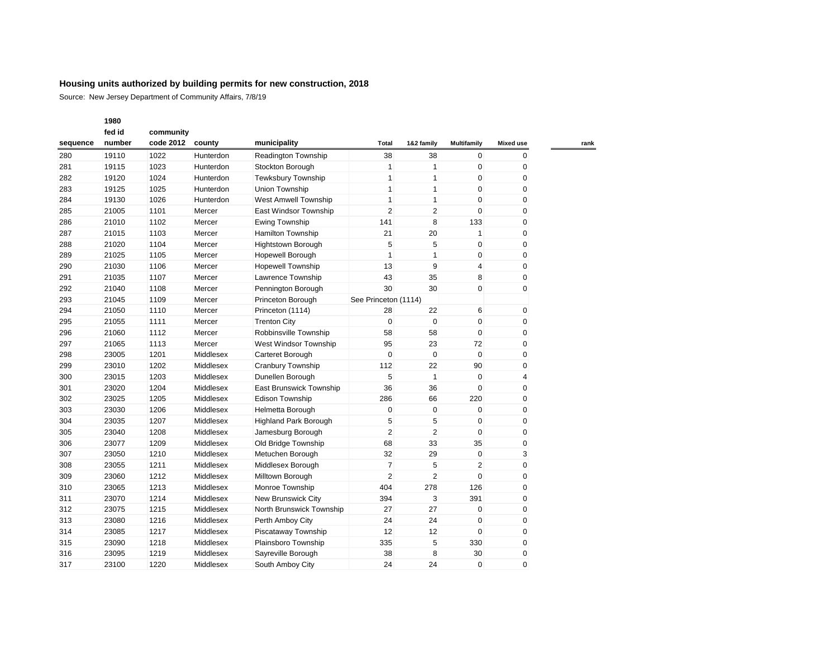|          | 1980   |           |           |                              |                      |                |                         |                  |
|----------|--------|-----------|-----------|------------------------------|----------------------|----------------|-------------------------|------------------|
|          | fed id | community |           |                              |                      |                |                         |                  |
| sequence | number | code 2012 | county    | municipality                 | Total                | 1&2 family     | <b>Multifamily</b>      | <b>Mixed use</b> |
| 280      | 19110  | 1022      | Hunterdon | Readington Township          | 38                   | 38             | $\mathbf{0}$            | $\mathbf{0}$     |
| 281      | 19115  | 1023      | Hunterdon | Stockton Borough             | $\mathbf{1}$         | $\mathbf{1}$   | 0                       | 0                |
| 282      | 19120  | 1024      | Hunterdon | <b>Tewksbury Township</b>    | $\mathbf{1}$         | $\mathbf{1}$   | 0                       | 0                |
| 283      | 19125  | 1025      | Hunterdon | <b>Union Township</b>        | $\mathbf{1}$         | $\mathbf{1}$   | $\mathbf 0$             | $\mathbf{0}$     |
| 284      | 19130  | 1026      | Hunterdon | West Amwell Township         | $\mathbf{1}$         | $\mathbf{1}$   | $\mathbf 0$             | $\mathbf 0$      |
| 285      | 21005  | 1101      | Mercer    | East Windsor Township        | $\overline{2}$       | $\overline{2}$ | $\mathbf 0$             | $\mathbf 0$      |
| 286      | 21010  | 1102      | Mercer    | <b>Ewing Township</b>        | 141                  | 8              | 133                     | $\mathbf{0}$     |
| 287      | 21015  | 1103      | Mercer    | Hamilton Township            | 21                   | 20             | $\mathbf{1}$            | 0                |
| 288      | 21020  | 1104      | Mercer    | <b>Hightstown Borough</b>    | 5                    | 5              | $\mathbf 0$             | 0                |
| 289      | 21025  | 1105      | Mercer    | Hopewell Borough             | $\mathbf{1}$         | $\mathbf{1}$   | $\mathbf 0$             | $\mathbf{0}$     |
| 290      | 21030  | 1106      | Mercer    | <b>Hopewell Township</b>     | 13                   | 9              | $\overline{\mathbf{4}}$ | 0                |
| 291      | 21035  | 1107      | Mercer    | Lawrence Township            | 43                   | 35             | 8                       | $\mathbf 0$      |
| 292      | 21040  | 1108      | Mercer    | Pennington Borough           | 30                   | 30             | $\mathbf 0$             | $\mathbf 0$      |
| 293      | 21045  | 1109      | Mercer    | Princeton Borough            | See Princeton (1114) |                |                         |                  |
| 294      | 21050  | 1110      | Mercer    | Princeton (1114)             | 28                   | 22             | 6                       | 0                |
| 295      | 21055  | 1111      | Mercer    | <b>Trenton City</b>          | $\pmb{0}$            | $\mathbf 0$    | $\mathbf 0$             | $\pmb{0}$        |
| 296      | 21060  | 1112      | Mercer    | Robbinsville Township        | 58                   | 58             | $\mathbf 0$             | 0                |
| 297      | 21065  | 1113      | Mercer    | West Windsor Township        | 95                   | 23             | 72                      | $\mathbf{0}$     |
| 298      | 23005  | 1201      | Middlesex | Carteret Borough             | 0                    | $\mathbf 0$    | $\mathbf 0$             | 0                |
| 299      | 23010  | 1202      | Middlesex | Cranbury Township            | 112                  | 22             | 90                      | 0                |
| 300      | 23015  | 1203      | Middlesex | Dunellen Borough             | 5                    | $\mathbf{1}$   | $\mathbf 0$             | 4                |
| 301      | 23020  | 1204      | Middlesex | East Brunswick Township      | 36                   | 36             | $\mathbf 0$             | $\pmb{0}$        |
| 302      | 23025  | 1205      | Middlesex | <b>Edison Township</b>       | 286                  | 66             | 220                     | 0                |
| 303      | 23030  | 1206      | Middlesex | Helmetta Borough             | 0                    | $\mathbf 0$    | 0                       | $\mathbf{0}$     |
| 304      | 23035  | 1207      | Middlesex | <b>Highland Park Borough</b> | 5                    | 5              | $\mathbf 0$             | 0                |
| 305      | 23040  | 1208      | Middlesex | Jamesburg Borough            | $\overline{2}$       | $\overline{2}$ | $\mathbf 0$             | $\mathbf 0$      |
| 306      | 23077  | 1209      | Middlesex | Old Bridge Township          | 68                   | 33             | 35                      | $\mathbf 0$      |
| 307      | 23050  | 1210      | Middlesex | Metuchen Borough             | 32                   | 29             | $\mathbf 0$             | 3                |
| 308      | 23055  | 1211      | Middlesex | Middlesex Borough            | $\overline{7}$       | 5              | $\overline{2}$          | $\mathbf 0$      |
| 309      | 23060  | 1212      | Middlesex | Milltown Borough             | $\overline{2}$       | $\overline{2}$ | 0                       | 0                |
| 310      | 23065  | 1213      | Middlesex | Monroe Township              | 404                  | 278            | 126                     | 0                |
| 311      | 23070  | 1214      | Middlesex | New Brunswick City           | 394                  | 3              | 391                     | $\mathbf 0$      |
| 312      | 23075  | 1215      | Middlesex | North Brunswick Township     | 27                   | 27             | $\mathbf 0$             | $\mathbf 0$      |
| 313      | 23080  | 1216      | Middlesex | Perth Amboy City             | 24                   | 24             | 0                       | 0                |
| 314      | 23085  | 1217      | Middlesex | Piscataway Township          | 12                   | 12             | $\mathbf 0$             | $\pmb{0}$        |
| 315      | 23090  | 1218      | Middlesex | Plainsboro Township          | 335                  | 5              | 330                     | 0                |
| 316      | 23095  | 1219      | Middlesex | Sayreville Borough           | 38                   | 8              | 30                      | 0                |
| 317      | 23100  | 1220      | Middlesex | South Amboy City             | 24                   | 24             | $\mathbf 0$             | $\mathbf 0$      |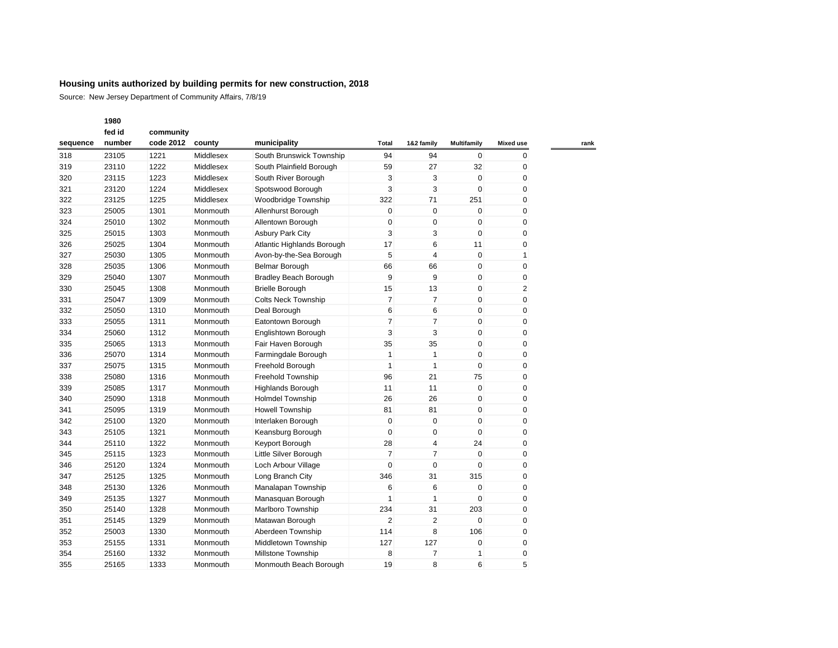Source: New Jersey Department of Community Affairs, 7/8/19

| fed id   |        | community |           |                              |                |                |             |                  |
|----------|--------|-----------|-----------|------------------------------|----------------|----------------|-------------|------------------|
| sequence | number | code 2012 | county    | municipality                 | Total          | 1&2 family     | Multifamily | <b>Mixed use</b> |
| 318      | 23105  | 1221      | Middlesex | South Brunswick Township     | 94             | 94             | $\mathbf 0$ | 0                |
| 319      | 23110  | 1222      | Middlesex | South Plainfield Borough     | 59             | 27             | 32          | 0                |
| 320      | 23115  | 1223      | Middlesex | South River Borough          | 3              | 3              | $\mathbf 0$ | 0                |
| 321      | 23120  | 1224      | Middlesex | Spotswood Borough            | 3              | 3              | $\mathbf 0$ | 0                |
| 322      | 23125  | 1225      | Middlesex | Woodbridge Township          | 322            | 71             | 251         | $\mathbf 0$      |
| 323      | 25005  | 1301      | Monmouth  | Allenhurst Borough           | 0              | 0              | $\mathbf 0$ | 0                |
| 324      | 25010  | 1302      | Monmouth  | Allentown Borough            | 0              | 0              | $\mathbf 0$ | 0                |
| 325      | 25015  | 1303      | Monmouth  | <b>Asbury Park City</b>      | 3              | 3              | $\mathbf 0$ | 0                |
| 326      | 25025  | 1304      | Monmouth  | Atlantic Highlands Borough   | 17             | 6              | 11          | 0                |
| 327      | 25030  | 1305      | Monmouth  | Avon-by-the-Sea Borough      | 5              | 4              | $\mathbf 0$ | 1                |
| 328      | 25035  | 1306      | Monmouth  | <b>Belmar Borough</b>        | 66             | 66             | $\mathbf 0$ | 0                |
| 329      | 25040  | 1307      | Monmouth  | <b>Bradley Beach Borough</b> | 9              | 9              | $\mathbf 0$ | 0                |
| 330      | 25045  | 1308      | Monmouth  | <b>Brielle Borough</b>       | 15             | 13             | $\mathbf 0$ | 2                |
| 331      | 25047  | 1309      | Monmouth  | <b>Colts Neck Township</b>   | $\overline{7}$ | 7              | $\mathbf 0$ | 0                |
| 332      | 25050  | 1310      | Monmouth  | Deal Borough                 | 6              | 6              | $\mathbf 0$ | 0                |
| 333      | 25055  | 1311      | Monmouth  | Eatontown Borough            | $\overline{7}$ | 7              | $\mathbf 0$ | $\mathbf 0$      |
| 334      | 25060  | 1312      | Monmouth  | Englishtown Borough          | 3              | 3              | $\mathbf 0$ | 0                |
| 335      | 25065  | 1313      | Monmouth  | Fair Haven Borough           | 35             | 35             | $\mathbf 0$ | 0                |
| 336      | 25070  | 1314      | Monmouth  | Farmingdale Borough          | $\mathbf{1}$   | $\mathbf{1}$   | $\mathbf 0$ | 0                |
| 337      | 25075  | 1315      | Monmouth  | Freehold Borough             | $\mathbf{1}$   | $\mathbf{1}$   | $\mathbf 0$ | $\mathbf 0$      |
| 338      | 25080  | 1316      | Monmouth  | <b>Freehold Township</b>     | 96             | 21             | 75          | $\mathbf 0$      |
| 339      | 25085  | 1317      | Monmouth  | <b>Highlands Borough</b>     | 11             | 11             | $\mathbf 0$ | 0                |
| 340      | 25090  | 1318      | Monmouth  | <b>Holmdel Township</b>      | 26             | 26             | $\mathbf 0$ | $\mathbf 0$      |
| 341      | 25095  | 1319      | Monmouth  | <b>Howell Township</b>       | 81             | 81             | $\mathbf 0$ | $\mathbf 0$      |
| 342      | 25100  | 1320      | Monmouth  | Interlaken Borough           | $\mathbf 0$    | 0              | $\mathbf 0$ | 0                |
| 343      | 25105  | 1321      | Monmouth  | Keansburg Borough            | 0              | 0              | $\mathbf 0$ | 0                |
| 344      | 25110  | 1322      | Monmouth  | Keyport Borough              | 28             | 4              | 24          | 0                |
| 345      | 25115  | 1323      | Monmouth  | Little Silver Borough        | $\overline{7}$ | 7              | $\mathbf 0$ | 0                |
| 346      | 25120  | 1324      | Monmouth  | Loch Arbour Village          | 0              | 0              | $\mathbf 0$ | 0                |
| 347      | 25125  | 1325      | Monmouth  | Long Branch City             | 346            | 31             | 315         | 0                |
| 348      | 25130  | 1326      | Monmouth  | Manalapan Township           | 6              | 6              | $\mathbf 0$ | 0                |
| 349      | 25135  | 1327      | Monmouth  | Manasquan Borough            | 1              | $\mathbf{1}$   | $\mathbf 0$ | 0                |
| 350      | 25140  | 1328      | Monmouth  | Marlboro Township            | 234            | 31             | 203         | 0                |
| 351      | 25145  | 1329      | Monmouth  | Matawan Borough              | $\overline{2}$ | $\overline{2}$ | $\mathbf 0$ | 0                |
| 352      | 25003  | 1330      | Monmouth  | Aberdeen Township            | 114            | 8              | 106         | $\mathbf 0$      |
| 353      | 25155  | 1331      | Monmouth  | Middletown Township          | 127            | 127            | $\mathbf 0$ | 0                |
| 354      | 25160  | 1332      | Monmouth  | Millstone Township           | 8              | $\overline{7}$ | 1           | 0                |
| 355      | 25165  | 1333      | Monmouth  | Monmouth Beach Borough       | 19             | 8              | 6           | 5                |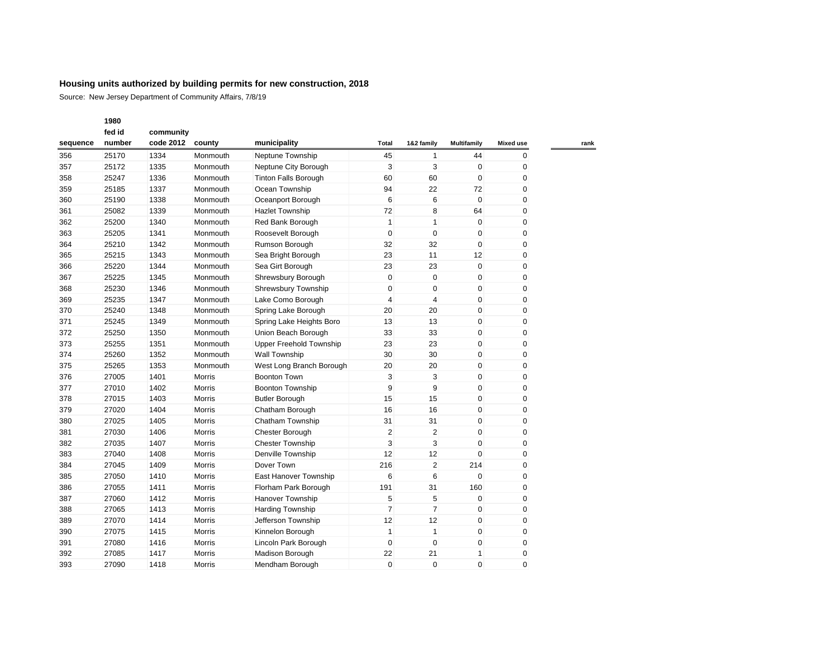|          | 1980   |           |               |                                |                |                |                    |                  |
|----------|--------|-----------|---------------|--------------------------------|----------------|----------------|--------------------|------------------|
|          | fed id | community |               |                                |                |                |                    |                  |
| sequence | number | code 2012 | county        | municipality                   | Total          | 1&2 family     | <b>Multifamily</b> | <b>Mixed use</b> |
| 356      | 25170  | 1334      | Monmouth      | Neptune Township               | 45             | $\mathbf{1}$   | 44                 | $\mathbf 0$      |
| 357      | 25172  | 1335      | Monmouth      | Neptune City Borough           | 3              | 3              | $\mathbf 0$        | 0                |
| 358      | 25247  | 1336      | Monmouth      | <b>Tinton Falls Borough</b>    | 60             | 60             | 0                  | 0                |
| 359      | 25185  | 1337      | Monmouth      | Ocean Township                 | 94             | 22             | 72                 | $\mathbf 0$      |
| 360      | 25190  | 1338      | Monmouth      | Oceanport Borough              | 6              | 6              | $\mathbf 0$        | $\mathbf 0$      |
| 361      | 25082  | 1339      | Monmouth      | <b>Hazlet Township</b>         | 72             | 8              | 64                 | $\pmb{0}$        |
| 362      | 25200  | 1340      | Monmouth      | Red Bank Borough               | $\mathbf{1}$   | $\mathbf{1}$   | $\mathbf 0$        | $\mathbf 0$      |
| 363      | 25205  | 1341      | Monmouth      | Roosevelt Borough              | $\mathbf 0$    | $\mathbf 0$    | $\mathbf 0$        | $\mathbf 0$      |
| 364      | 25210  | 1342      | Monmouth      | Rumson Borough                 | 32             | 32             | 0                  | 0                |
| 365      | 25215  | 1343      | Monmouth      | Sea Bright Borough             | 23             | 11             | 12                 | $\mathbf 0$      |
| 366      | 25220  | 1344      | Monmouth      | Sea Girt Borough               | 23             | 23             | $\mathbf 0$        | $\mathbf 0$      |
| 367      | 25225  | 1345      | Monmouth      | Shrewsbury Borough             | $\pmb{0}$      | $\mathbf 0$    | 0                  | $\mathbf 0$      |
| 368      | 25230  | 1346      | Monmouth      | <b>Shrewsbury Township</b>     | $\pmb{0}$      | $\mathbf 0$    | $\mathbf 0$        | 0                |
| 369      | 25235  | 1347      | Monmouth      | Lake Como Borough              | $\overline{4}$ | $\overline{4}$ | $\mathbf 0$        | $\mathbf 0$      |
| 370      | 25240  | 1348      | Monmouth      | Spring Lake Borough            | 20             | 20             | 0                  | 0                |
| 371      | 25245  | 1349      | Monmouth      | Spring Lake Heights Boro       | 13             | 13             | 0                  | $\pmb{0}$        |
| 372      | 25250  | 1350      | Monmouth      | Union Beach Borough            | 33             | 33             | $\mathbf 0$        | $\mathbf 0$      |
| 373      | 25255  | 1351      | Monmouth      | <b>Upper Freehold Township</b> | 23             | 23             | $\mathbf 0$        | $\mathbf 0$      |
| 374      | 25260  | 1352      | Monmouth      | Wall Township                  | 30             | 30             | 0                  | $\mathbf 0$      |
| 375      | 25265  | 1353      | Monmouth      | West Long Branch Borough       | 20             | 20             | $\mathbf 0$        | $\mathbf 0$      |
| 376      | 27005  | 1401      | <b>Morris</b> | <b>Boonton Town</b>            | 3              | 3              | $\mathbf 0$        | $\mathbf 0$      |
| 377      | 27010  | 1402      | Morris        | Boonton Township               | 9              | 9              | 0                  | $\mathbf 0$      |
| 378      | 27015  | 1403      | <b>Morris</b> | <b>Butler Borough</b>          | 15             | 15             | $\mathbf 0$        | $\mathbf 0$      |
| 379      | 27020  | 1404      | <b>Morris</b> | Chatham Borough                | 16             | 16             | $\mathbf 0$        | $\mathbf 0$      |
| 380      | 27025  | 1405      | Morris        | Chatham Township               | 31             | 31             | 0                  | $\mathbf 0$      |
| 381      | 27030  | 1406      | Morris        | Chester Borough                | $\overline{2}$ | $\overline{2}$ | 0                  | $\mathbf 0$      |
| 382      | 27035  | 1407      | Morris        | <b>Chester Township</b>        | 3              | 3              | 0                  | $\mathbf 0$      |
| 383      | 27040  | 1408      | Morris        | Denville Township              | 12             | 12             | $\Omega$           | 0                |
| 384      | 27045  | 1409      | Morris        | Dover Town                     | 216            | $\overline{2}$ | 214                | $\pmb{0}$        |
| 385      | 27050  | 1410      | <b>Morris</b> | East Hanover Township          | 6              | 6              | 0                  | $\mathbf 0$      |
| 386      | 27055  | 1411      | Morris        | Florham Park Borough           | 191            | 31             | 160                | 0                |
| 387      | 27060  | 1412      | Morris        | Hanover Township               | 5              | 5              | 0                  | $\pmb{0}$        |
| 388      | 27065  | 1413      | Morris        | <b>Harding Township</b>        | $\overline{7}$ | $\overline{7}$ | 0                  | 0                |
| 389      | 27070  | 1414      | Morris        | Jefferson Township             | 12             | 12             | $\mathbf 0$        | 0                |
| 390      | 27075  | 1415      | Morris        | Kinnelon Borough               | $\mathbf{1}$   | $\mathbf{1}$   | 0                  | $\pmb{0}$        |
| 391      | 27080  | 1416      | Morris        | Lincoln Park Borough           | $\pmb{0}$      | $\mathbf 0$    | $\mathbf 0$        | $\mathbf 0$      |
| 392      | 27085  | 1417      | Morris        | Madison Borough                | 22             | 21             | 1                  | 0                |
| 393      | 27090  | 1418      | Morris        | Mendham Borough                | $\mathbf 0$    | $\Omega$       | $\Omega$           | $\mathbf 0$      |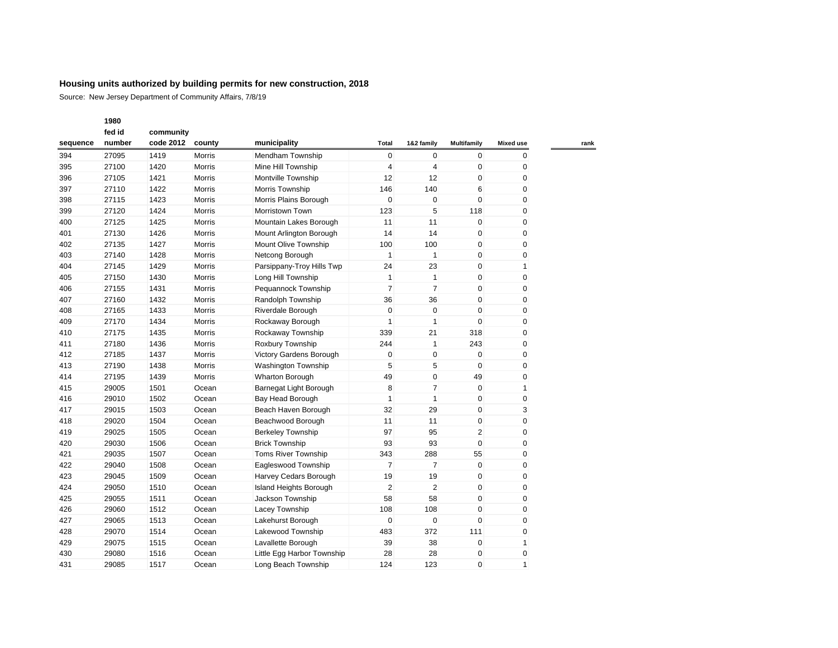Source: New Jersey Department of Community Affairs, 7/8/19

| fed id   |        | community |               |                            |                         |                |                    |                  |
|----------|--------|-----------|---------------|----------------------------|-------------------------|----------------|--------------------|------------------|
| sequence | number | code 2012 | county        | municipality               | Total                   | 1&2 family     | <b>Multifamily</b> | <b>Mixed use</b> |
| 394      | 27095  | 1419      | Morris        | Mendham Township           | $\mathbf 0$             | $\mathbf 0$    | $\mathbf 0$        | 0                |
| 395      | 27100  | 1420      | <b>Morris</b> | Mine Hill Township         | $\overline{4}$          | $\overline{4}$ | $\mathbf 0$        | 0                |
| 396      | 27105  | 1421      | Morris        | Montville Township         | 12                      | 12             | 0                  | 0                |
| 397      | 27110  | 1422      | Morris        | Morris Township            | 146                     | 140            | 6                  | 0                |
| 398      | 27115  | 1423      | Morris        | Morris Plains Borough      | $\mathbf 0$             | $\mathbf 0$    | 0                  | 0                |
| 399      | 27120  | 1424      | <b>Morris</b> | Morristown Town            | 123                     | 5              | 118                | 0                |
| 400      | 27125  | 1425      | Morris        | Mountain Lakes Borough     | 11                      | 11             | 0                  | 0                |
| 401      | 27130  | 1426      | Morris        | Mount Arlington Borough    | 14                      | 14             | $\mathbf 0$        | 0                |
| 402      | 27135  | 1427      | Morris        | Mount Olive Township       | 100                     | 100            | $\mathbf 0$        | 0                |
| 403      | 27140  | 1428      | Morris        | Netcong Borough            | $\mathbf{1}$            | $\mathbf{1}$   | $\mathbf 0$        | 0                |
| 404      | 27145  | 1429      | Morris        | Parsippany-Troy Hills Twp  | 24                      | 23             | $\mathbf 0$        | 1                |
| 405      | 27150  | 1430      | Morris        | Long Hill Township         | $\mathbf{1}$            | $\mathbf{1}$   | $\mathbf 0$        | 0                |
| 406      | 27155  | 1431      | <b>Morris</b> | Pequannock Township        | $\overline{7}$          | $\overline{7}$ | $\mathbf 0$        | 0                |
| 407      | 27160  | 1432      | Morris        | Randolph Township          | 36                      | 36             | 0                  | 0                |
| 408      | 27165  | 1433      | Morris        | Riverdale Borough          | $\mathbf 0$             | $\mathbf 0$    | 0                  | 0                |
| 409      | 27170  | 1434      | Morris        | Rockaway Borough           | 1                       | $\mathbf{1}$   | $\mathbf 0$        | 0                |
| 410      | 27175  | 1435      | Morris        | Rockaway Township          | 339                     | 21             | 318                | 0                |
| 411      | 27180  | 1436      | Morris        | Roxbury Township           | 244                     | $\mathbf{1}$   | 243                | 0                |
| 412      | 27185  | 1437      | <b>Morris</b> | Victory Gardens Borough    | 0                       | $\mathbf 0$    | $\mathbf 0$        | 0                |
| 413      | 27190  | 1438      | Morris        | <b>Washington Township</b> | 5                       | 5              | $\mathbf 0$        | 0                |
| 414      | 27195  | 1439      | Morris        | <b>Wharton Borough</b>     | 49                      | 0              | 49                 | 0                |
| 415      | 29005  | 1501      | Ocean         | Barnegat Light Borough     | 8                       | 7              | $\mathbf 0$        | 1                |
| 416      | 29010  | 1502      | Ocean         | Bay Head Borough           | 1                       | $\mathbf{1}$   | 0                  | 0                |
| 417      | 29015  | 1503      | Ocean         | Beach Haven Borough        | 32                      | 29             | $\mathbf 0$        | 3                |
| 418      | 29020  | 1504      | Ocean         | Beachwood Borough          | 11                      | 11             | $\mathbf 0$        | 0                |
| 419      | 29025  | 1505      | Ocean         | <b>Berkeley Township</b>   | 97                      | 95             | 2                  | 0                |
| 420      | 29030  | 1506      | Ocean         | <b>Brick Township</b>      | 93                      | 93             | $\mathbf 0$        | 0                |
| 421      | 29035  | 1507      | Ocean         | Toms River Township        | 343                     | 288            | 55                 | 0                |
| 422      | 29040  | 1508      | Ocean         | Eagleswood Township        | 7                       | $\overline{7}$ | $\mathbf 0$        | 0                |
| 423      | 29045  | 1509      | Ocean         | Harvey Cedars Borough      | 19                      | 19             | 0                  | 0                |
| 424      | 29050  | 1510      | Ocean         | Island Heights Borough     | $\overline{\mathbf{c}}$ | 2              | $\mathbf 0$        | 0                |
| 425      | 29055  | 1511      | Ocean         | Jackson Township           | 58                      | 58             | $\mathbf 0$        | 0                |
| 426      | 29060  | 1512      | Ocean         | Lacey Township             | 108                     | 108            | $\mathbf 0$        | 0                |
| 427      | 29065  | 1513      | Ocean         | Lakehurst Borough          | 0                       | $\mathbf 0$    | $\mathbf 0$        | 0                |
| 428      | 29070  | 1514      | Ocean         | Lakewood Township          | 483                     | 372            | 111                | 0                |
| 429      | 29075  | 1515      | Ocean         | Lavallette Borough         | 39                      | 38             | $\mathbf 0$        | 1                |
| 430      | 29080  | 1516      | Ocean         | Little Egg Harbor Township | 28                      | 28             | 0                  | 0                |
| 431      | 29085  | 1517      | Ocean         | Long Beach Township        | 124                     | 123            | $\Omega$           | 1                |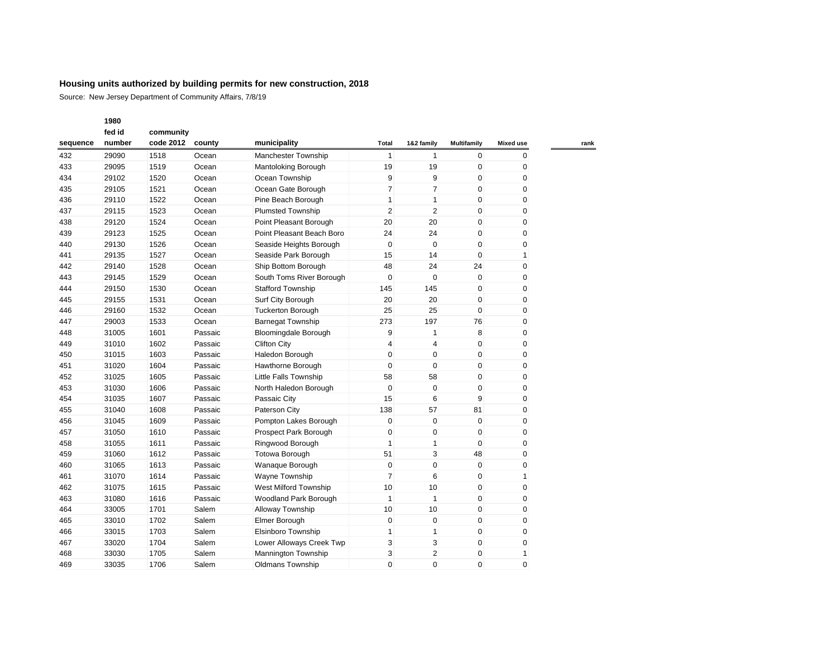Source: New Jersey Department of Community Affairs, 7/8/19

|          | fed id | community |         |                              |                |                |                    |                  |
|----------|--------|-----------|---------|------------------------------|----------------|----------------|--------------------|------------------|
| sequence | number | code 2012 | county  | municipality                 | Total          | 1&2 family     | <b>Multifamily</b> | <b>Mixed use</b> |
| 432      | 29090  | 1518      | Ocean   | <b>Manchester Township</b>   | $\mathbf{1}$   | $\mathbf{1}$   | $\mathbf{0}$       | $\mathbf{0}$     |
| 433      | 29095  | 1519      | Ocean   | <b>Mantoloking Borough</b>   | 19             | 19             | 0                  | 0                |
| 434      | 29102  | 1520      | Ocean   | Ocean Township               | 9              | 9              | 0                  | 0                |
| 435      | 29105  | 1521      | Ocean   | Ocean Gate Borough           | $\overline{7}$ | 7              | 0                  | 0                |
| 436      | 29110  | 1522      | Ocean   | Pine Beach Borough           | $\mathbf{1}$   | 1              | 0                  | 0                |
| 437      | 29115  | 1523      | Ocean   | <b>Plumsted Township</b>     | $\overline{2}$ | 2              | 0                  | 0                |
| 438      | 29120  | 1524      | Ocean   | Point Pleasant Borough       | 20             | 20             | 0                  | 0                |
| 439      | 29123  | 1525      | Ocean   | Point Pleasant Beach Boro    | 24             | 24             | 0                  | 0                |
| 440      | 29130  | 1526      | Ocean   | Seaside Heights Borough      | $\mathbf 0$    | $\mathbf 0$    | 0                  | 0                |
| 441      | 29135  | 1527      | Ocean   | Seaside Park Borough         | 15             | 14             | 0                  | 1                |
| 442      | 29140  | 1528      | Ocean   | Ship Bottom Borough          | 48             | 24             | 24                 | 0                |
| 443      | 29145  | 1529      | Ocean   | South Toms River Borough     | $\mathbf 0$    | $\mathbf 0$    | $\mathbf{0}$       | 0                |
| 444      | 29150  | 1530      | Ocean   | <b>Stafford Township</b>     | 145            | 145            | 0                  | 0                |
| 445      | 29155  | 1531      | Ocean   | Surf City Borough            | 20             | 20             | 0                  | 0                |
| 446      | 29160  | 1532      | Ocean   | <b>Tuckerton Borough</b>     | 25             | 25             | 0                  | 0                |
| 447      | 29003  | 1533      | Ocean   | <b>Barnegat Township</b>     | 273            | 197            | 76                 | 0                |
| 448      | 31005  | 1601      | Passaic | Bloomingdale Borough         | 9              | 1              | 8                  | 0                |
| 449      | 31010  | 1602      | Passaic | <b>Clifton City</b>          | $\overline{4}$ | 4              | 0                  | 0                |
| 450      | 31015  | 1603      | Passaic | Haledon Borough              | $\pmb{0}$      | 0              | 0                  | 0                |
| 451      | 31020  | 1604      | Passaic | Hawthorne Borough            | $\mathbf 0$    | 0              | 0                  | 0                |
| 452      | 31025  | 1605      | Passaic | <b>Little Falls Township</b> | 58             | 58             | 0                  | 0                |
| 453      | 31030  | 1606      | Passaic | North Haledon Borough        | $\mathbf 0$    | $\mathbf 0$    | 0                  | 0                |
| 454      | 31035  | 1607      | Passaic | Passaic City                 | 15             | 6              | 9                  | 0                |
| 455      | 31040  | 1608      | Passaic | Paterson City                | 138            | 57             | 81                 | 0                |
| 456      | 31045  | 1609      | Passaic | Pompton Lakes Borough        | $\mathbf 0$    | $\mathbf 0$    | 0                  | 0                |
| 457      | 31050  | 1610      | Passaic | Prospect Park Borough        | $\pmb{0}$      | 0              | 0                  | 0                |
| 458      | 31055  | 1611      | Passaic | Ringwood Borough             | $\mathbf{1}$   | 1              | 0                  | 0                |
| 459      | 31060  | 1612      | Passaic | <b>Totowa Borough</b>        | 51             | 3              | 48                 | 0                |
| 460      | 31065  | 1613      | Passaic | Wanaque Borough              | $\mathbf 0$    | 0              | 0                  | 0                |
| 461      | 31070  | 1614      | Passaic | Wayne Township               | $\overline{7}$ | 6              | 0                  | 1                |
| 462      | 31075  | 1615      | Passaic | West Milford Township        | 10             | 10             | 0                  | 0                |
| 463      | 31080  | 1616      | Passaic | Woodland Park Borough        | $\mathbf{1}$   | 1              | 0                  | 0                |
| 464      | 33005  | 1701      | Salem   | Alloway Township             | 10             | 10             | 0                  | 0                |
| 465      | 33010  | 1702      | Salem   | Elmer Borough                | $\pmb{0}$      | $\mathbf 0$    | 0                  | 0                |
| 466      | 33015  | 1703      | Salem   | Elsinboro Township           | $\mathbf{1}$   | 1              | 0                  | 0                |
| 467      | 33020  | 1704      | Salem   | Lower Alloways Creek Twp     | 3              | 3              | 0                  | 0                |
| 468      | 33030  | 1705      | Salem   | <b>Mannington Township</b>   | 3              | $\overline{2}$ | 0                  | 1                |
| 469      | 33035  | 1706      | Salem   | <b>Oldmans Township</b>      | $\Omega$       | $\Omega$       | $\Omega$           | $\mathbf 0$      |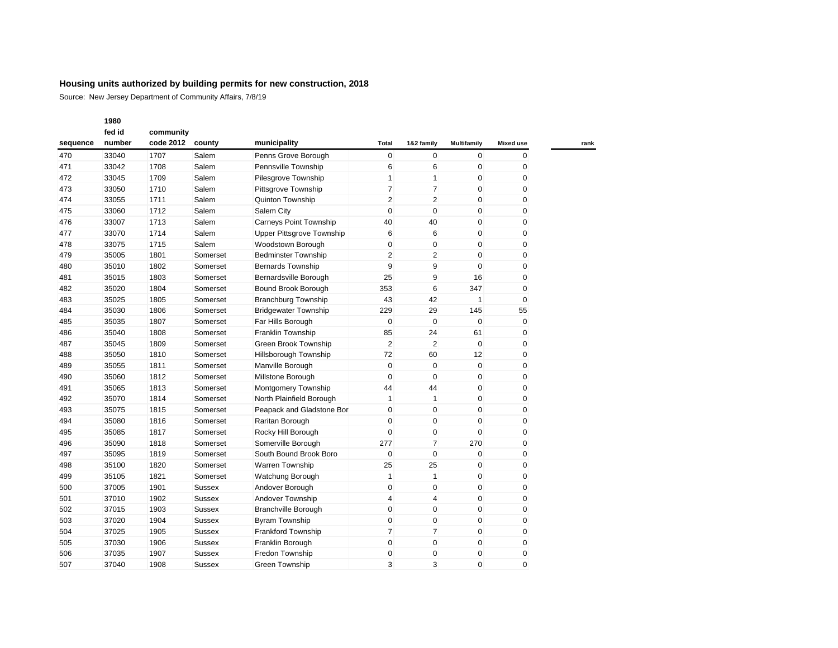Source: New Jersey Department of Community Affairs, 7/8/19

|          | fed id | community |               |                             |                         |                |              |                  |
|----------|--------|-----------|---------------|-----------------------------|-------------------------|----------------|--------------|------------------|
| sequence | number | code 2012 | county        | municipality                | Total                   | 1&2 family     | Multifamily  | <b>Mixed use</b> |
| 470      | 33040  | 1707      | Salem         | Penns Grove Borough         | $\mathbf 0$             | $\mathbf 0$    | $\mathbf{0}$ | 0                |
| 471      | 33042  | 1708      | Salem         | Pennsville Township         | 6                       | 6              | $\mathbf{0}$ | 0                |
| 472      | 33045  | 1709      | Salem         | Pilesgrove Township         | $\mathbf{1}$            | 1              | 0            | 0                |
| 473      | 33050  | 1710      | Salem         | Pittsgrove Township         | $\overline{7}$          | $\overline{7}$ | 0            | 0                |
| 474      | 33055  | 1711      | Salem         | Quinton Township            | $\overline{2}$          | $\overline{2}$ | $\mathbf{0}$ | 0                |
| 475      | 33060  | 1712      | Salem         | Salem City                  | $\mathbf 0$             | 0              | 0            | 0                |
| 476      | 33007  | 1713      | Salem         | Carneys Point Township      | 40                      | 40             | 0            | 0                |
| 477      | 33070  | 1714      | Salem         | Upper Pittsgrove Township   | 6                       | 6              | 0            | 0                |
| 478      | 33075  | 1715      | Salem         | Woodstown Borough           | $\mathbf 0$             | $\mathbf 0$    | $\mathbf{0}$ | 0                |
| 479      | 35005  | 1801      | Somerset      | <b>Bedminster Township</b>  | $\overline{2}$          | $\overline{2}$ | 0            | 0                |
| 480      | 35010  | 1802      | Somerset      | <b>Bernards Township</b>    | 9                       | 9              | 0            | 0                |
| 481      | 35015  | 1803      | Somerset      | Bernardsville Borough       | 25                      | 9              | 16           | 0                |
| 482      | 35020  | 1804      | Somerset      | Bound Brook Borough         | 353                     | 6              | 347          | 0                |
| 483      | 35025  | 1805      | Somerset      | <b>Branchburg Township</b>  | 43                      | 42             | 1            | $\mathbf 0$      |
| 484      | 35030  | 1806      | Somerset      | <b>Bridgewater Township</b> | 229                     | 29             | 145          | 55               |
| 485      | 35035  | 1807      | Somerset      | Far Hills Borough           | $\mathbf 0$             | 0              | $\mathbf{0}$ | 0                |
| 486      | 35040  | 1808      | Somerset      | Franklin Township           | 85                      | 24             | 61           | 0                |
| 487      | 35045  | 1809      | Somerset      | Green Brook Township        | $\overline{2}$          | $\overline{2}$ | 0            | 0                |
| 488      | 35050  | 1810      | Somerset      | Hillsborough Township       | 72                      | 60             | 12           | $\pmb{0}$        |
| 489      | 35055  | 1811      | Somerset      | Manville Borough            | $\pmb{0}$               | $\mathbf 0$    | $\mathbf{0}$ | $\mathbf 0$      |
| 490      | 35060  | 1812      | Somerset      | Millstone Borough           | $\pmb{0}$               | 0              | $\mathbf 0$  | $\mathbf 0$      |
| 491      | 35065  | 1813      | Somerset      | Montgomery Township         | 44                      | 44             | 0            | $\mathbf 0$      |
| 492      | 35070  | 1814      | Somerset      | North Plainfield Borough    | $\mathbf{1}$            | $\mathbf{1}$   | $\mathbf{0}$ | 0                |
| 493      | 35075  | 1815      | Somerset      | Peapack and Gladstone Bor   | $\mathbf 0$             | $\mathbf 0$    | $\mathbf 0$  | $\pmb{0}$        |
| 494      | 35080  | 1816      | Somerset      | Raritan Borough             | $\mathbf 0$             | $\Omega$       | $\Omega$     | $\mathbf 0$      |
| 495      | 35085  | 1817      | Somerset      | Rocky Hill Borough          | $\mathbf 0$             | 0              | 0            | 0                |
| 496      | 35090  | 1818      | Somerset      | Somerville Borough          | 277                     | $\overline{7}$ | 270          | $\mathbf 0$      |
| 497      | 35095  | 1819      | Somerset      | South Bound Brook Boro      | $\mathbf 0$             | 0              | 0            | $\mathbf 0$      |
| 498      | 35100  | 1820      | Somerset      | <b>Warren Township</b>      | 25                      | 25             | 0            | 0                |
| 499      | 35105  | 1821      | Somerset      | Watchung Borough            | $\mathbf{1}$            | $\mathbf{1}$   | 0            | 0                |
| 500      | 37005  | 1901      | <b>Sussex</b> | Andover Borough             | $\mathbf 0$             | $\mathbf 0$    | 0            | 0                |
| 501      | 37010  | 1902      | Sussex        | Andover Township            | $\overline{\mathbf{4}}$ | 4              | 0            | 0                |
| 502      | 37015  | 1903      | <b>Sussex</b> | Branchville Borough         | $\mathbf 0$             | $\mathbf 0$    | 0            | 0                |
| 503      | 37020  | 1904      | <b>Sussex</b> | <b>Byram Township</b>       | $\pmb{0}$               | 0              | 0            | 0                |
| 504      | 37025  | 1905      | <b>Sussex</b> | <b>Frankford Township</b>   | $\overline{7}$          | $\overline{7}$ | 0            | 0                |
| 505      | 37030  | 1906      | Sussex        | Franklin Borough            | $\mathbf 0$             | 0              | 0            | 0                |
| 506      | 37035  | 1907      | Sussex        | Fredon Township             | $\mathbf 0$             | 0              | 0            | 0                |
| 507      | 37040  | 1908      | Sussex        | Green Township              | 3                       | 3              | $\Omega$     | $\mathbf 0$      |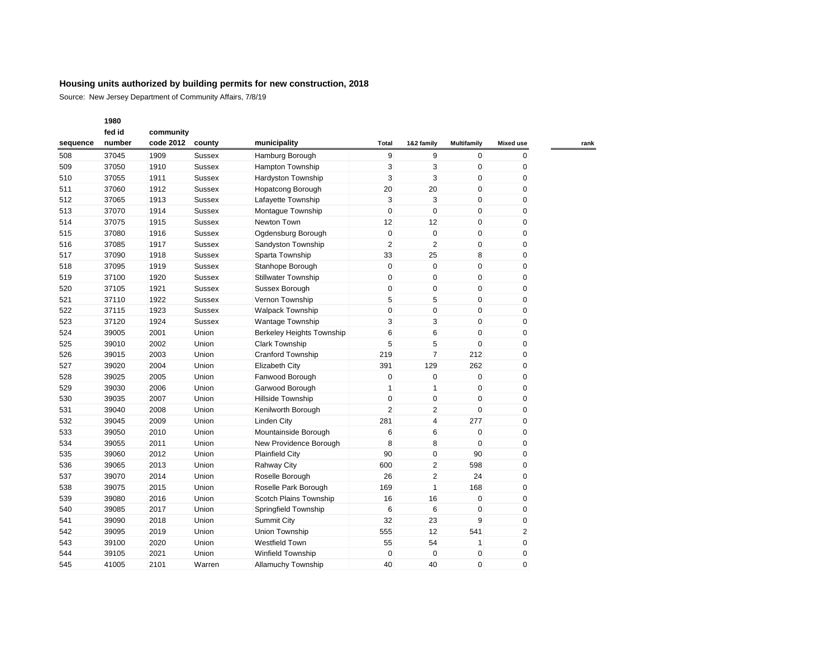Source: New Jersey Department of Community Affairs, 7/8/19

|          | fed id | community |               |                                  |                |                |                    |                  |
|----------|--------|-----------|---------------|----------------------------------|----------------|----------------|--------------------|------------------|
| sequence | number | code 2012 | county        | municipality                     | <b>Total</b>   | 1&2 family     | <b>Multifamily</b> | <b>Mixed use</b> |
| 508      | 37045  | 1909      | <b>Sussex</b> | Hamburg Borough                  | 9              | 9              | $\mathbf 0$        | 0                |
| 509      | 37050  | 1910      | <b>Sussex</b> | <b>Hampton Township</b>          | 3              | 3              | $\mathbf 0$        | 0                |
| 510      | 37055  | 1911      | <b>Sussex</b> | Hardyston Township               | 3              | 3              | $\mathbf 0$        | $\mathbf 0$      |
| 511      | 37060  | 1912      | <b>Sussex</b> | <b>Hopatcong Borough</b>         | 20             | 20             | $\mathbf 0$        | $\mathbf 0$      |
| 512      | 37065  | 1913      | <b>Sussex</b> | Lafayette Township               | 3              | 3              | $\mathbf 0$        | $\mathbf 0$      |
| 513      | 37070  | 1914      | <b>Sussex</b> | Montague Township                | $\mathbf 0$    | $\mathbf 0$    | $\mathbf 0$        | 0                |
| 514      | 37075  | 1915      | <b>Sussex</b> | Newton Town                      | 12             | 12             | $\mathbf 0$        | 0                |
| 515      | 37080  | 1916      | <b>Sussex</b> | Ogdensburg Borough               | $\mathbf 0$    | $\pmb{0}$      | $\mathbf 0$        | 0                |
| 516      | 37085  | 1917      | <b>Sussex</b> | Sandyston Township               | $\overline{2}$ | $\overline{2}$ | $\mathbf 0$        | 0                |
| 517      | 37090  | 1918      | <b>Sussex</b> | Sparta Township                  | 33             | 25             | 8                  | 0                |
| 518      | 37095  | 1919      | <b>Sussex</b> | Stanhope Borough                 | $\mathbf 0$    | $\mathbf 0$    | $\mathbf 0$        | $\mathbf 0$      |
| 519      | 37100  | 1920      | <b>Sussex</b> | <b>Stillwater Township</b>       | $\pmb{0}$      | $\pmb{0}$      | $\mathbf 0$        | 0                |
| 520      | 37105  | 1921      | <b>Sussex</b> | Sussex Borough                   | $\mathbf 0$    | $\pmb{0}$      | $\mathbf 0$        | $\mathbf 0$      |
| 521      | 37110  | 1922      | <b>Sussex</b> | Vernon Township                  | 5              | 5              | $\mathbf 0$        | $\mathbf 0$      |
| 522      | 37115  | 1923      | <b>Sussex</b> | <b>Walpack Township</b>          | $\mathbf 0$    | 0              | $\mathbf 0$        | 0                |
| 523      | 37120  | 1924      | <b>Sussex</b> | Wantage Township                 | 3              | 3              | $\mathbf 0$        | 0                |
| 524      | 39005  | 2001      | Union         | <b>Berkeley Heights Township</b> | 6              | 6              | $\mathbf 0$        | 0                |
| 525      | 39010  | 2002      | Union         | <b>Clark Township</b>            | 5              | 5              | $\mathbf 0$        | 0                |
| 526      | 39015  | 2003      | Union         | <b>Cranford Township</b>         | 219            | $\overline{7}$ | 212                | 0                |
| 527      | 39020  | 2004      | Union         | <b>Elizabeth City</b>            | 391            | 129            | 262                | 0                |
| 528      | 39025  | 2005      | Union         | Fanwood Borough                  | 0              | $\pmb{0}$      | $\mathbf 0$        | 0                |
| 529      | 39030  | 2006      | Union         | Garwood Borough                  | 1              | 1              | $\mathbf 0$        | 0                |
| 530      | 39035  | 2007      | Union         | Hillside Township                | $\pmb{0}$      | $\pmb{0}$      | $\mathbf 0$        | 0                |
| 531      | 39040  | 2008      | Union         | Kenilworth Borough               | $\overline{2}$ | 2              | $\mathbf 0$        | 0                |
| 532      | 39045  | 2009      | Union         | <b>Linden City</b>               | 281            | 4              | 277                | 0                |
| 533      | 39050  | 2010      | Union         | Mountainside Borough             | 6              | 6              | $\mathbf 0$        | $\mathbf 0$      |
| 534      | 39055  | 2011      | Union         | New Providence Borough           | 8              | 8              | $\mathbf 0$        | 0                |
| 535      | 39060  | 2012      | Union         | <b>Plainfield City</b>           | 90             | 0              | 90                 | 0                |
| 536      | 39065  | 2013      | Union         | Rahway City                      | 600            | $\overline{2}$ | 598                | 0                |
| 537      | 39070  | 2014      | Union         | Roselle Borough                  | 26             | $\overline{2}$ | 24                 | 0                |
| 538      | 39075  | 2015      | Union         | Roselle Park Borough             | 169            | 1              | 168                | 0                |
| 539      | 39080  | 2016      | Union         | Scotch Plains Township           | 16             | 16             | $\mathbf 0$        | 0                |
| 540      | 39085  | 2017      | Union         | Springfield Township             | 6              | 6              | $\mathbf 0$        | 0                |
| 541      | 39090  | 2018      | Union         | <b>Summit City</b>               | 32             | 23             | 9                  | 0                |
| 542      | 39095  | 2019      | Union         | <b>Union Township</b>            | 555            | 12             | 541                | 2                |
| 543      | 39100  | 2020      | Union         | <b>Westfield Town</b>            | 55             | 54             | $\mathbf{1}$       | 0                |
| 544      | 39105  | 2021      | Union         | <b>Winfield Township</b>         | $\mathbf 0$    | $\mathbf 0$    | 0                  | 0                |
| 545      | 41005  | 2101      | Warren        | <b>Allamuchy Township</b>        | 40             | 40             | $\Omega$           | $\Omega$         |